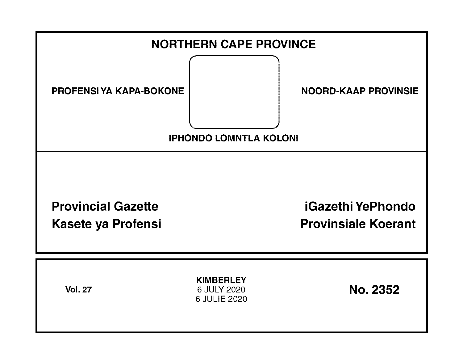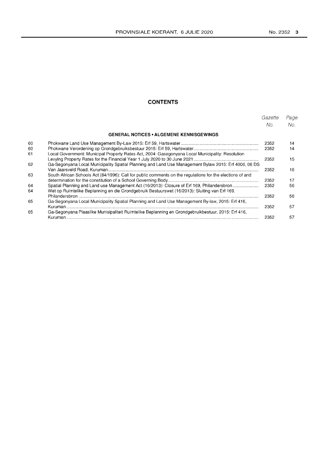# **CONTENTS**

|                                                                                                           | Gazette<br>No.                                                                                                                                                                                      | Page<br>No.                                                                                          |
|-----------------------------------------------------------------------------------------------------------|-----------------------------------------------------------------------------------------------------------------------------------------------------------------------------------------------------|------------------------------------------------------------------------------------------------------|
| <b>GENERAL NOTICES • ALGEMENE KENNISGEWINGS</b>                                                           |                                                                                                                                                                                                     |                                                                                                      |
|                                                                                                           | 2352                                                                                                                                                                                                | 14                                                                                                   |
|                                                                                                           | 2352                                                                                                                                                                                                | 14                                                                                                   |
|                                                                                                           |                                                                                                                                                                                                     |                                                                                                      |
|                                                                                                           | 2352                                                                                                                                                                                                | 15                                                                                                   |
|                                                                                                           |                                                                                                                                                                                                     |                                                                                                      |
|                                                                                                           | 2352                                                                                                                                                                                                | 16                                                                                                   |
| South African Schools Act (84/1996): Call for public comments on the regulations for the elections of and |                                                                                                                                                                                                     |                                                                                                      |
|                                                                                                           | 2352                                                                                                                                                                                                | 17                                                                                                   |
| Spatial Planning and Land use Management Act (16/2013): Closure of Erf 169, Philandersbron                | 2352                                                                                                                                                                                                | 56                                                                                                   |
| Wet op Ruimtelike Beplanning en die Grondgebruik Bestuurswet (16/2013): Sluiting van Erf 169.             |                                                                                                                                                                                                     |                                                                                                      |
|                                                                                                           | 2352                                                                                                                                                                                                | 56                                                                                                   |
|                                                                                                           |                                                                                                                                                                                                     |                                                                                                      |
|                                                                                                           | 2352                                                                                                                                                                                                | 57                                                                                                   |
| Ga-Segonyana Plaaslike Munisipaliteit Ruimtelike Beplanning en Grondgebruikbestuur, 2015: Erf 416,        |                                                                                                                                                                                                     |                                                                                                      |
|                                                                                                           | 2352                                                                                                                                                                                                | 57                                                                                                   |
|                                                                                                           | Local Government: Municipal Property Rates Act, 2004: Gasegonyana Local Municipality: Resolution<br>Ga-Segonyana Local Municipality Spatial Planning and Land Use Management By-law, 2015: Erf 416, | Ga-Segonyana Local Municipality Spatial Planning and Land Use Management Bylaw 2015: Erf 4006, 08 DS |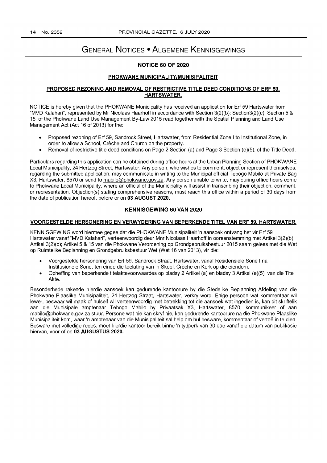# GENERAL NOTICES • ALGEMENE KENNISGEWINGS

## NOTICE 60 OF 2020

## PHOKWANE MUNICIPALITY/MUNISIPALITEIT

## PROPOSED REZONING AND REMOVAL OF RESTRICTIVE TITLE DEED CONDITIONS OF ERF 59, HARTSWATER,

NOTICE is hereby given that the PHOKWANE Municipality has received an application for Erf 59 Hartswater from "MVD Kalahari", represented by Mr Nicolaas Haarhoff in accordance with Section 3(2)(b); Section3(2)(c); Section 5 & 15 of the Phokwane Land Use Management By-Law 2015 read together with the Spatial Planning and Land Use Management Act (Act 16 of 2013) for the:

- Proposed rezoning of Erf 59, Sandrock Street, Hartswater, from Residential Zone I to Institutional Zone, in order to allow a School, Crèche and Church on the property.
- Removal of restrictive title deed conditions on Page 2 Section (a) and Page 3 Section (e)(5), of the Title Deed.

Particulars regarding this application can be obtained during office hours at the Urban Planning Section of PHOKWANE Local Municipality, 24 Hertzog Street, Hartswater. Any person, who wishes to comment, object or represent themselves, regarding the submitted application, may communicate in writing to the Municipal official Tebogo Mabilo at Private Bag X3, Hartswater, 8570 or send to mabilo@phokwane.gov.za. Any person unable to write, may during office hours come to Phokwane Local Municipality, where an official of the Municipality will assist in transcribing their objection, comment, or representation. Objection(s) stating comprehensive reasons, must reach this office within a period of 30 days from the date of publication hereof, before or on 03 AUGUST 2020.

## KENNISGEWING 60 VAN 2020

## VOORGESTELDE HERSONERING EN VERWYDERING VAN BEPERKENDE TITEL VAN ERF 59, HARTSWATER.

KENNISGEWING word hiermee gegee dat die PHOKWANE Munisipaliteit 'n aansoek ontvang het vir Erf 59 Hartswater vanaf "MVD Kalahari", verteenwoordig deur Mnr Nicolaas Haarhoff in ooreenstemming met Artikel 3(2)(b); Artikel 3(2)(c); Artikel 5 & 15 van die Phokwane Verordening op Grondgebruiksbestuur 2015 saam gelees met die Wet op Ruimtelike Beplanning en Grondgebruiksbestuur Wet (Wet 16 van 2013), vir die:

- Voorgestelde hersonering van Erf 59, Sandrock Straat, Hartswater, vanaf Residensiele Sone I na Institusionele Sone, ten einde die toelating van 'n Skool, Creche en Kerk op die eiendom.
- Opheffing van beperkende titelaktevoorwaardes op bladsy 2 Artikel (a) en bladsy 3 Artikel (e)(5), van die Titel Akte.

Besonderhede rakende hierdie aansoek kan gedurende kantoorure by die Stedelike Beplanning Afdeling van die Phokwane Plaaslike Munisipaliteit, 24 Hertzog Straat, Hartswater, verkry word. Enige persoon wat kommentaar wil lewer, beswaar wil maak of hulself wil verteenwoordig met betrekking tot die aansoek wat ingedien is, kan dit skriftelik aan die Munisipale amptenaar Tebogo Mabilo by Privaatsak X3, Hartswater, 8570, kommunikeer of aan mabilo@phokwane.gov.za stuur. Persone wat nie kan skryf nie, kan gedurende kantoorure na die Phokwane Plaaslike Munisipaliteit kom, waar 'n amptenaar van die Munisipaliteit sal help om hul besware, kommentaar of vertoë in te dien. Besware met volledige redes, moet hierdie kantoor bereik binne 'n tydperk van 30 dae vanaf die datum van publikasie hiervan, voor of op 03 AUGUSTUS 2020.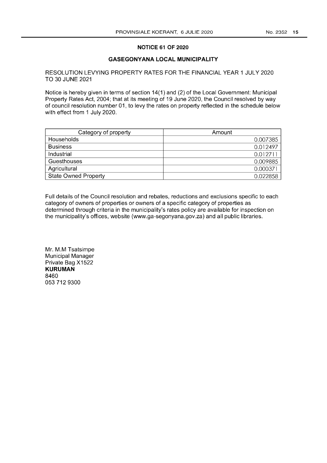## NOTICE 61 OF 2020

## GASEGONYANA LOCAL MUNICIPALITY

RESOLUTION LEVYING PROPERTY RATES FOR THE FINANCIAL YEAR 1 JULY 2020 TO 30 JUNE 2021

Notice is hereby given in terms of section 14(1) and (2) of the Local Government: Municipal Property Rates Act, 2004; that at its meeting of 19 June 2020, the Council resolved by way of council resolution number 01, to levy the rates on property reflected in the schedule below with effect from 1 July 2020.

| Category of property        | Amount   |
|-----------------------------|----------|
| Households                  | 0.007385 |
| <b>Business</b>             | 0.012497 |
| Industrial                  | 0.012711 |
| Guesthouses                 | 0.009885 |
| Agricultural                | 0.000371 |
| <b>State Owned Property</b> | 0.022858 |

Full details of the Council resolution and rebates, reductions and exclusions specific to each category of owners of properties or owners of a specific category of properties as determined through criteria in the municipality's rates policy are available for inspection on the municipality's offices, website (www.ga-segonyana.gov.za) and all public libraries.

Mr. M.M Tsatsimpe Municipal Manager Private Bag X1522 **KURUMAN**  8460 0537129300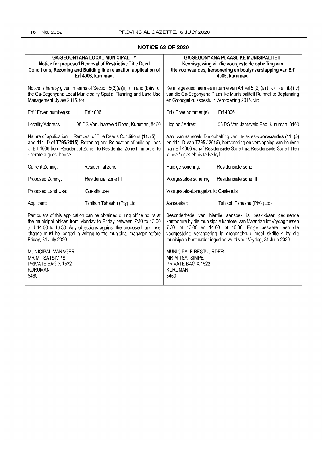# NOTICE 62 OF 2020

|                                                                                     | <b>GA-SEGONYANA LOCAL MUNICIPALITY</b><br>Notice for proposed Removal of Restrictive Title Deed<br>Conditions, Rezoning and Building line relaxation application of<br>Erf 4006, kuruman.                                                                                           |                                                                                         | <b>GA-SEGONYANA PLAASLIKE MUNISIPALITEIT</b><br>Kennisgewing vir die voorgestelde opheffing van<br>titelvoorwaardes, hersonering en boulynverslapping van Erf<br>4006, kuruman.                                                                                                                                                    |
|-------------------------------------------------------------------------------------|-------------------------------------------------------------------------------------------------------------------------------------------------------------------------------------------------------------------------------------------------------------------------------------|-----------------------------------------------------------------------------------------|------------------------------------------------------------------------------------------------------------------------------------------------------------------------------------------------------------------------------------------------------------------------------------------------------------------------------------|
| Management Bylaw 2015, for:                                                         | Notice is hereby given in terms of Section 5(2)(a)(ii), (iii) and (b)(iv) of<br>the Ga-Segonyana Local Municipality Spatial Planning and Land Use                                                                                                                                   | en Grondgebruiksbestuur Verordening 2015, vir:                                          | Kennis geskied hiermee in terme van Artikel 5 (2) (a) (ii), (iii) en (b) (iv)<br>van die Ga-Segonyana Plaaslike Munisipaliteit Ruimtelike Beplanning                                                                                                                                                                               |
| Erf / Erven number(s):                                                              | Erf 4006                                                                                                                                                                                                                                                                            | Erf / Erwe nommer (s):                                                                  | Erf 4006                                                                                                                                                                                                                                                                                                                           |
| Locality/Address:                                                                   | 08 DS Van Jaarsveld Road, Kuruman, 8460                                                                                                                                                                                                                                             | Ligging / Adres:                                                                        | 08 DS Van Jaarsveld Pad, Kuruman, 8460                                                                                                                                                                                                                                                                                             |
| operate a guest house.                                                              | Nature of application: Removal of Title Deeds Conditions (11. (5)<br>and 111. D of T795/2015), Rezoning and Relaxation of building lines<br>of Erf 4006 from Residential Zone I to Residential Zone III in order to                                                                 | einde 'n gastehuis te bedryf.                                                           | Aard van aansoek: Die opheffing van titelaktes-voorwaardes (11. (5)<br>en 111. D van T795 / 2015), hersonering en verslapping van boulyne<br>van Erf 4006 vanaf Residensiële Sone I na Residensiële Sone III ten                                                                                                                   |
| Current Zoning:                                                                     | Residential zone I                                                                                                                                                                                                                                                                  | Huidige sonering:                                                                       | Residensiële sone I                                                                                                                                                                                                                                                                                                                |
| Proposed Zoning:                                                                    | Residential zone III                                                                                                                                                                                                                                                                | Voorgestelde sonering:                                                                  | Residensiële sone III                                                                                                                                                                                                                                                                                                              |
| Proposed Land Use:                                                                  | Guesthouse                                                                                                                                                                                                                                                                          | VoorgesteldeLandgebruik: Gastehuis                                                      |                                                                                                                                                                                                                                                                                                                                    |
| Applicant:                                                                          | Tshikoh Tshashu (Pty) Ltd                                                                                                                                                                                                                                                           | Aansoeker                                                                               | Tshikoh Tshashu (Pty) (Ltd)                                                                                                                                                                                                                                                                                                        |
| Friday, 31 July 2020.                                                               | Particulars of this application can be obtained during office hours at<br>the municipal offices from Monday to Friday between 7:30 to 13:00<br>and 14:00 to 16:30. Any objections against the proposed land use<br>change must be lodged in writing to the municipal manager before |                                                                                         | Besonderhede van hierdie aansoek is beskikbaar gedurende<br>kantoorure by die munisipale kantore, van Maandag tot Vrydag tussen<br>7:30 tot 13:00 en 14:00 tot 16:30. Enige besware teen die<br>voorgestelde verandering in grondgebruik moet skriftelik by die<br>munisipale bestuurder ingedien word voor Vrydag, 31 Julie 2020. |
| MUNICIPAL MANAGER<br>MR M TSATSIMPE<br>PRIVATE BAG X 1522<br><b>KURUMAN</b><br>8460 |                                                                                                                                                                                                                                                                                     | MUNICIPALE BESTUURDER<br>MR M TSATSIMPE<br>PRIVATE BAG X 1522<br><b>KURUMAN</b><br>8460 |                                                                                                                                                                                                                                                                                                                                    |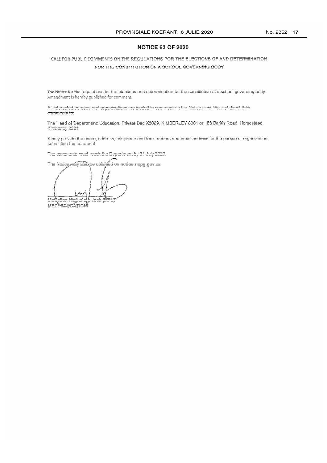## **NOTICE 63 OF 2020**

# CALL FOR PUBLIC COMMENTS ON THE REGULATIONS FOR THE ELECTIONS OF AND DETERMINATION FOR THE CONSTITUTION OF A SCHOOL GOVERNING BODY

The Notice for the regulations for the elections and determination for the constitution of a school governing body. Amendment is hereby published for comment.

All interested persons and organisations are invited to comment on the Notice in writing and direct their commonts to:

The Head of Department: Education, Private Bag X5029, KIMBERLEY 8301 or 156 Barkly Road, Homostead, Kimberley 8301

Kindly provide the name, address, telephone and fax numbers and email address for tho person or organization submitting the comment

The comments must reach the Department by 31 July 2020.

The Notice may alace obtained on nodoe nopg.gov.za

McQollen Nisjkele ) Jack (MPL) MEC-EDUCATION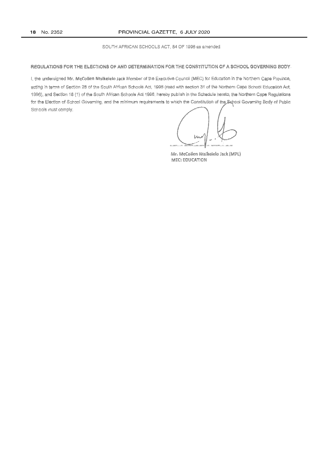## SOUTH AFRICAN SCHOOLS ACT, 84 OF 1996 as amended

REGULATIONS FOR THE ELECTIONS OF AND DETERMINATION FOR THE CONSTITUTION OF A SCHOOL GOVERNING BODY.

I, the undersigned Mr. McCollen Ntsikelelo Jack Member of the Executive Council (MEC) for Education in the Northern Cape Province, acting in terms of Section 28 of the South African Schools Act, 1996 (read with section 31 of the Northern Cape School Education Act, 1996), and Section 18 (1) of the South African Schools Act 1996, hereby publish in the Schedule hereto, the Northern Cape Regulations for the Election of School Governing, and the minimum requirements to which the Constitution of the School Governing Body of Public Schools must comply.

Mr. McCollen Ntsikelelo Jack (MPL) **MEC: EDUCATION**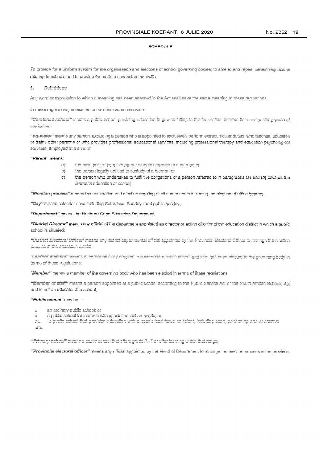#### **SCHEDULE**

To provide for a uniform system for the organisation and elections of school governing bodles; to amend and repeal cartain requistions relating to schools and to provide for matters connected therewith.

#### Definitions ŧ.

Any word or expression to which a meaning has been attached in the Act shall have the same meaning in these regulations.

In these regulations, unless the context indicates otherwise-

"Combined school" means a public school providing education in grades falling in the foundation, intermediate and senior phases of ourriculum;

"Educator" means any person, excluding a person who is appointed to exclusively perform extracurricular duties, who teaches, educates or trains other persons or who provides professional educational services, including professional therapy and education psychological services, employed at a school:

"Parent" means:

- the biological or adoptive parent or legal quardian of a learner; or  $a)$
- $b)$ the person legally entitled to custody of a learner, or
- $\mathbb{C}^{\mathbb{N}}_I$ the person who undertakes to fulfil the obligations of a person referred to in paragraphs (a) and (b) towards the learner's education at school;

"Election process" means the nomination and election meeting of all components including the election of office bearers;

"Day" means calendar days including Saturdays, Sundays and public holidays;

"Department" means the Northern Cape Education Department;

"District Director" means any official of the department appointed as director or acting director of the education district in which a public school is situated;

"District Electoral Officer" means any district departmental official appointed by the Provincial Electoral Officer to manage the election process in the education district;

"Learner member" means a learner officially enrolled in a secondary public school and who has been elected to the governing body in terms of these requisitions:

"Member" means a member of the governing body who has been elected in terms of these regulations;

"Member of staff" meant a person appointed at a public school according to the Public Service Act or the South African Schools Act and is not an educator at a school;

"Public school" may be-

- an ordinary public school; or  $\mathcal{L}_{\mathrm{eff}}$
- a public school for learners with special education needs; or ti.

a public school that provides education with a specialised focus on talent, including sport, performing arts or creative  $\mathbf{m}_\epsilon$ arts.

"Primary school" means a public school that offers grade R -7 or offer learning within that range;

"Provincial electoral officer" means any official appointed by the Head of Department to manage the election process in the province;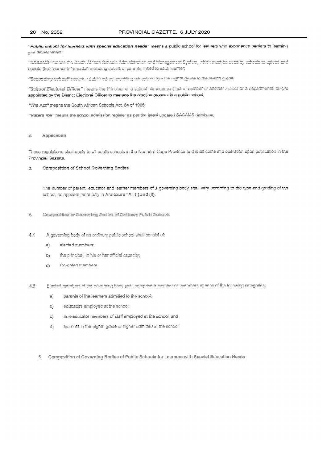"Public school for learners with special education needs" means a public school for learners who experience berriers to learning and development;

"SASAMS" means the South African Schools Administration and Management System, which must be used by schools to upload and update their learner information including dotalls of parents linked to each learner;

"Secondary school" means a public school providing education from the eighth grade to the twelfth grade;

"Schoof Electoral Officer" means the Principal or a school management team member of another school or a departmental official appointed by the District Electoral Officer to manage the election process in a public school;

"The Act" means the South African Schools Act, 84 of 1996;

"Voters roll" means the school admission register as per the latest updated SASAMS database;

#### $\tilde{\mathcal{F}}_1$ Application

These regulations shall apply to all public schools in the Northern Cape Province and shall come into operation upon publication in the Provincial Gazette.

#### Composition of School Governing Bodies **宝**

The number of parent, educator and learner members of a governing body shall vary uccording to the type and gruding of the school, as appears more fully in Annexure "A" (i) and (ii).

- Composition of Governing Bodies of Ordinary Public Schools  $\hat{\mathcal{Q}}_{2n}$
- 4.1 A governing body of an ordinary nubile school shall consist of:
	- elected mambers; A)
	- b) the principal, in his or her official capacity;
	- C) Co-opted members.
- Elected members of the governing body shall comprise a member or members of each of the following categories:  $4.2$ 
	- $\hat{a}$ parents of the learners admitted to the school;
	- edutators employed at the school; b)
	- non-educator members of staff employed at the school; and  $\mathbb{C}$
	- $\phi$ learnors in the eighth grade or higher admitted at the school
	- $\bar{\pi}$ Composition of Governing Bodles of Public Schools for Learners with Special Education Needs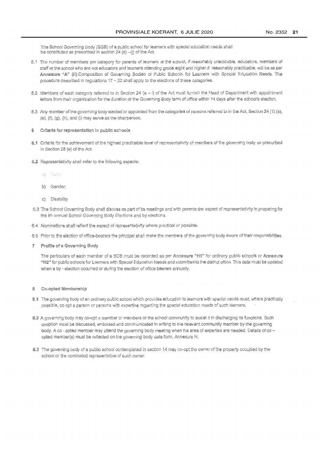The School Governing Body (SGB) of a public school for learners with special education needs shall be constituted as prescribed in section 24 (a) -(i) of the Act.

- 5.1 The number of members per category for parents of learners at the school, if reasonably practicable, educators, members of staff at the achool who are not educators and learners attending grade eight and higher, if reasonably practicable, will be as per Annexure "A" (II):Composition of Governing Bodies of Public Schools for Learners with Special Education Needs. The procedure described in regulations 17 - 22 shall apply to the elections of these categories.
- 5.2 Members of each category referred to in Section 24 (e i) of the Act must furnish the Head of Department with appointment letters from their organization for the duration of the Governing Body term of office within 14 days after the school's election.
- 5.3 Any member of the governing body elected or appointed from the categories of persons referred to in the Act, Section 24 (1) (a), (e), (f), (a), (h), and (i) may serve as the chairperson.
- 6 Criteria for representation in public schools
- 6.1 Criteria for the achievement of the highest practicable level of representativity of members of the governing body as prescribed In Section 28 (e) of the Act.
- 6.2 Representativity shall refer to the following aspects;
	- sh Nato:
	- b) Gender:
	- c) Disability
- 6.3 The School Governing Body shall discuss as part of its meetings and with parents the aspect of representativity in preparing for the tri- ennual School Governing Body Elections and by elections.
- 6.4 Nominations shall reflect the aspect of representativity where practical or possible.
- 6.5 Prior to the election of office-bearers the principal shall make the members of the governing body aware of their responsibilities.
- 7 Profile of a Governing Body

The particulars of each member of a SGB must be recorded as per Annexure "H1" for ordinary public schools or Annexure "H2" for public schools for Leemers with Special Education Needs and submitted to the district office. This data must be updated when a by - alection occurred or during the election of office bearers annually.

#### 8 Co-opted Membership

- 8.1 The governing body of an ordinary public school which provides education to learners with special needs must, where practically possible, co-opt a person or persons with expertise regarding the special education needs of such learners.
- 8.2 A governing body may co-opt a member or members of the school community to assist it in discharging its functions. Such cooption must be discussed, endorsed and communicated in writing to the relevant community member by the governing body. A co-orted member may attend the governing body meeting when his area of expertise are needed. Details of coopted member(s) must be reflected on the governing body date form, Annexure H.
- 8.3 The governing body of a public school contemplated in section 14 may co-opt the owner of the property occupied by the school or the nominated representative of such owner.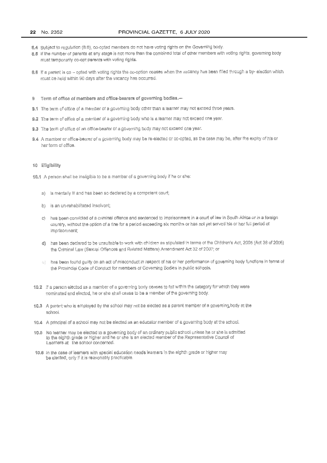#### 22 No. 2352

- 8,4 Subject to regulation (8.6), co-opted members do not have voting rights on the Governing body.
- 8.5 If the number of parents at any stage is not more than the combined total of other members with voting rights, governing body must temporarily co-opt perents with voting rights.
- 8.6 If a parent is co opted with voting rights the co-option ceases when the vacancy has been filled through a by- election which must be held within 90 days after the vacancy has occurred.

#### 9 Term of office of members and office-bearers of governing bodies.-

- 9.1 The term of office of a member of a governing body other than a learner may not exceed three years.
- 9.2 The term of office of a member of a governing body who is a learner may not exceed one year.
- 9.3 The term of office of an office-bearer of a governing body may not exceed one year.
- 9.4 A member or office-bearer of a governing body may be re-elected or co-opted, as the case may be, after the explry of his or her term of office.

#### 10 Eligibility

- 10.1 A person shall be ineligible to be a member of a governing body if he or she:
	- a) is mentally ill and has been so declared by a competent court;
	- b) is an un-rehabilitated insolvont:
	- c) has hean convicted of a criminal offence and sentenced to imprisonment in a court of law in South Africa or in a foreign country, without the option of a fine for a period exceeding six months or has not yet served his or her full period of imorisonment:
	- d) has been declared to be unsultable to work with children as stipulated in terms of the Children's Act, 2005 (Act 38 of 2005) the Criminal Law (Sexual Offences and Related Matters) Amendment Act 32 of 2007; or
	- e) has been found guilty on an act of misconduct in respect of his or her performance of governing body functions in terms of the Provincial Code of Conduct for members of Governing Bodies in public schools.
- 10.2 If a person elected as a member of a governing body censes to fall within the category for which they were nominated and elected, he or she shall cease to be a member of the governing body.
- 10.3 A barant who is employed by the school may not be elected as a parent member of a governing body at the school
- 10.4 A principal of a school may not be elected as an educator member of a governing body at the school.
- 10.5 No learner may be elected to a governing body of an ordinary public school unless he or she is admitted to the eighth grade or higher and he or she is an elected member of the Representative Council of Learners at the school concerned.
- 10.8 In the case of learners with special education neods learners in the eighth grade or higher may be elected, only if it is reasonably practicable.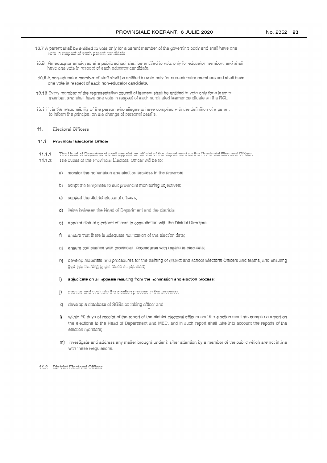- 10.7 A parent shall be entitled to vote only for a parent member of the governing body and shall have one vote in respect of each parent candidate.
- 10.8 An educator employed at a public achool shall be entitled to vote only for educator members and shall have one vote in rospect of each educator candidate.
- 10.9 A non-educator member of staff shall be entitled to vote only for non-educator members and shall have one vote in respect of each non-educator candidate.
- 10.10 Every member of the representative council of leaners shall be entitled to yole only for a learner member, and shall have one yote in respect of each nominated learner candidate on the RCL.
- 10.11 It is the responsibility of the person who alleges to have complied with the definition of a parent to inform the orinoidal on the change of personal details.

#### Electoral Officers 44.

#### 11.1 Provincial Electoral Officer

 $11.1.1$ The Head of Department shall appoint an official of the department as the Provincial Electoral Officer.

- 11.1.2 The duties of the Provincial Electoral Officer will be to:
	- a) monitor the nomination and election process in the province;
	- b) adapt the templates to suit provincial monitoring objectives;
	- c) support the district electoral officers:
	- d) lialse between the Hoad of Department and the districts:
	- e) appoint district electoral officers in consultation with the District Directors;
	- f) ensure that there is adequate notification of the election date:
	- g) ensure compliance with provincial procedures with regard to elections;
	- h) develop materials and procedures for the training of district and school Electoral Officers and teams, and ensuring that this training takes place as planned;
	- i) adjudicate on all appeals resulting from the nomination and election process;
	- [] monitor and evaluate the election process in the province;
	- k) develop a database of SGBs on taking office; and
	- I) within 30 days of receipt of the report of the district ciectoral officers and the election monitors compile a report on the elections to the Head of Department and MEC, and in such report shall take into account the reports of the election monitors:
	- m) Investigate and address any matter brought under his/her attention by a member of the public which are not in line with these Regulations.
- 11.2 District Electoral Officer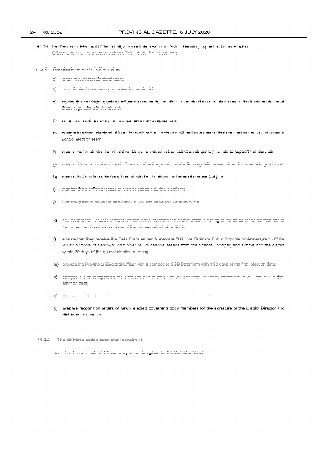#### 24 No. 2352

- 11.21 The Provincial Flectoral Officer shall in consultation with the District Director eponint a District Flectoral Officer who shall be a senior district official of the district concerned.
- 11.2.2 The district electoral officer shall:
	- a) appoint a district electoral team;
	- b) co-ordinate the election processes in the district:
	- c) advise the provincial electoral officer on any matter relating to the elections and shall ensure the implementation of these regulations in the district;
	- d) compile a management plan to implement these regulations;
	- a) designate school clectoral officers for each school in the district and niso ensure that each school has established a school election team:
	- f) ensure that each election official working at a school in the district is adequately trained to support the elections:
	- g) ensure that all school electoral officers receive the provincial election regulations and other documents in good time;
	- h) ensure that election advocacy is conducted in the district in terms of a provincial plan;
	- $\mathfrak{h}$ monitor the election process by visiting schools during elections;
	- compile election dates for all schools in the district as per Annexure "B";  $\overline{D}$
	- k) ensure that the School Electoral Officers have informed the district office in writing of the dates of the election and of the names and contact numbers of the persons elected to SGBs;
	- 1) ensure that they receive the Data Form as per Annexure "H1" for Ordinary Public Schools or Annexure "H2" for Public Schools of Learners With Special Educational Needs from the School Principal: and submit it to the district within 30 days of the school election meeting:
	- m) provide the Provincial Electoral Officer with a composite SGB Data form within 30 days of the final election date:
	- n) compile a district report on the elections and submit it to the provincial electoral officer within 30 days of the final election date;
	- $\circ$ )  $\circ$  (equalifiestic set of the set of the set of the set of the set of the set of the set of the set of the set of the set of the set of the set of the set of the set of the set of the set of the set of the set of t
	- p) prepare recognition letters of newly elected governing body members for the signature of the District Director and distribute to schools.

#### 11.2.3 The district election team shall consist of:

a) The District Electoral Officer or a porson delegated by the District Director;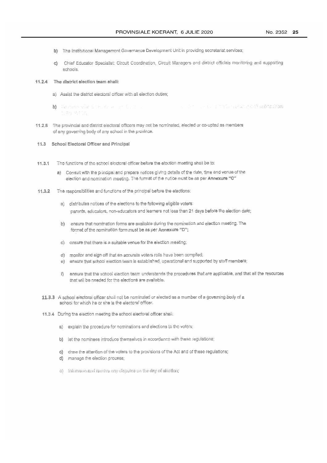- b) The Institutional Management Governance Development Unit in providing secretariat services;
- c) Chief Educator Specialist: Circuit Coordination, Circuit Managers and district officials monitoring and supporting schools.

#### 11.2.4 The district election team shall:

- a) Assist the district electoral officer with all election duties:
- b) National wise determined the following The state of the first production of substanting
- 11.2.5 The provincial and district electoral officers may not be nominated, elected or co-opted as members of any governing body of any school in the province.

### 11.3 School Electoral Officer and Principal

- The functions of the school electoral officer before the election meeting shall be to:  $11.3.1$ 
	- a) Consult with the principal and prepare notices giving details of the date, time and venue of the election and nomination meeting. The format of the notice must be as per Annexure "C"
- The responsibilities and functions of the principal before the elections:  $11.3.2$ 
	- a) distributes notices of the elections to the following eligible voters: parents, educators, non-educators and learners not less than 21 days before the election date;
	- b) ensure that nomination forms are available during the nomination and election meeting. The format of the nomination form must be as per Annexure "D";
	- c) crisure that there is a suitable venue for the election meeting;
	- d) monitor and sign off that an accurate voters rolls have been compiled:
	- e) ensure that school election team is established, operational and supported by stoff members;
	- f) ensure that the school election team understands the procedures that are applicable, and that all the resources that will be needed for the elections are available.
	- 11.3.3 A school electoral officer shall not be nominated or elected as a member of a governing body of a school for which he or she is the electoral officer.
	- 11.3.4 During the election meeting the school electoral officer shall:
		- a) explain the procedure for nominations and elections to the voters;
		- b) let the nominees introduce themselves in accordance with these regulations;
		- c) draw the attention of the voters to the provisions of the Act and of these regulations;
		- d) manage the election process;
		- a) Intervena and readive any disputes on the day of election;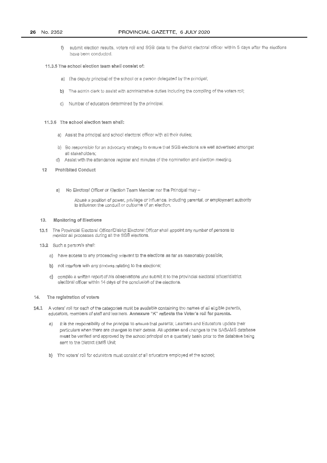aubmit election results, voters roll and SGB data to the district electoral officer within 5 days ufter the elections f) have been conducted.

#### 11.3.5 The echool election team shall consist of:

- a) The deputy principal of the school or a person delegated by the principal;
- b) The admin clerk to assist with administrative duties including the compiling of the voters roll;
- c) Number of educators determined by the principal.
- 11.3.6 The school election team shall:
	- a) Assist the principal and school electoral officor with all their duties;
	- b) Bo responsible for an advocacy strategy to ensure that SGB elections are well advertised amongst all stakeholders:
	- d) Assist with the attendance register and minutes of the nomination and election meeting.
- 12 **Prohibited Conduct** 
	- a) No Electoral Officer or Election Team Member nor the Principal may -

Abuse a position of power, privilege or influence, including parental, or employment authority to influence the conduct or outcome of an election.

#### **Monitoring of Elections**  $\bar{\P} \, \bar{\P}$

- 13.1 The Provincial Electoral Officer/District Electoral Officer shall appoint any number of persons to monitor all processes during all the SGB elections.
- 13.2 Such a person/s shall:
	- a) have access to any proceeding relevant to the elections as far as reasonably possible;
	- b) not interfere with any process relating to the elections;
	- c) compile a written report of his observations and submit it to the provincial electoral officer/district electoral officer within 14 days of the conclusion of the elections.

#### The regletration of voters 44.

- 14.1 A voters' roll for each of the categories must be available containing the names of all eligible parents, educators, members of staff and learners. Annexure "K" reflects the Voter's roll for parents.
	- It is the responsibility of the principal to ensure that parents; Learners and Educators update their  $\hat{z}$ particulars when there are changes to their details. All updates and changes to the SABAMS database must be verified and approved by the achool principal on a quarterly basis prior to the database being sent to the District EMIS Unit:
	- b) The voters' roll for educators must consist of all educators embioved at the school: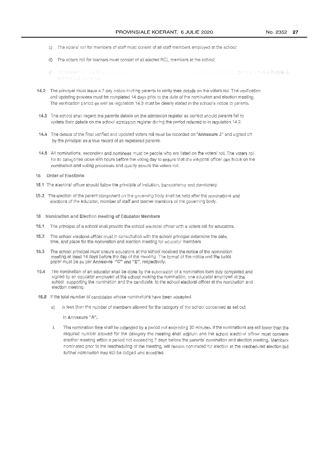- c) The voters' roll for members of staff must consist of all staff members employed at the school;
- d) The voters roll for learners must consist of all elected RCL members at the school:
- 感人 Separations (STR 1, Valuation) of the California 100mm (100mm) 200mm (100mm) 1974年以降本種有限 been was a common
- 14.2 The principal must issue a 7 day notice inviting parents to verify their details on the voters roll. The verification and updating process must be completed 14 days prior to the date of the nomination and election meeting. The verification period as well as requistion 14.3 must be clearly stated in the school's notice to parents.
- 14.3 The school shall regard the parents details on the admission register as correct should parents fall to update their details on the school admission register during the period referred to in requistion 14.2.
- 14.4 The details of the final verified and updated voters roll must be recorded on 'Annexure J" and signed off by the principal as a true record of all registered parents.
- 14.5 All nominations, seconders and nominees must be people who are listed on the voters' roll. The voters roll for all categories close 4Rh hours before the voting day to ensure that the electoral officer can focus on the nomination and voting processes and quality assure the voters roll.

#### 16 Order of Elections

- 15.1 The electoral officer should follow the principle of inclusion, transparency and democracy.
- 15.2 The election of the parent component on the governing body shall be held after the nominations and elections of the educator, momber of staff and learner membors of the governing body.

#### 16 Nomination and Election meeting of Educator Members

- 16.1 The principal of a school shall provide the school electoral officer with a voters roll for educators.
- 18.2 The school electoral officer must in consultation with the school principal determine the data, time, and place for the nomination and election meeting for educator members.
- The school principal must ensure educators at the school received the notice of the nomination 16.3 meeting at least 14 days before the day of the meeting. The format of the notice and the ballot paper must be as per Annexure "C" and "E", respectively.
- 16.4 The nomination of an educator shall be done by the aubmission of a nomination form duly completed and signed by an educator employed at the school making the nomination, one educator employed at the school supporting the nomination and the candidate, to the school electoral officer at the nomination and election meeting.
- 16.5 If the total number of candidates whose nominations have been accepted:
	- is less than the number of members allowed for the category of the school concemed as set out  $\mathbb{R}^N$

in Annaxum "A".

Ĭ. The nomination time shall be extended by a period not exceeding 30 minutes, if the nominations are still lower than the required number allowed for the category the meeting shall adjourn and the school slectoral officer must convene another meeting within a period not exceeding 7 days before the parents' nomination and election meeting. Members nominated prior to the rescheduling of the meeting, will remain nominated for election at the rescheduled election but further nomination may still be lodged and accepted.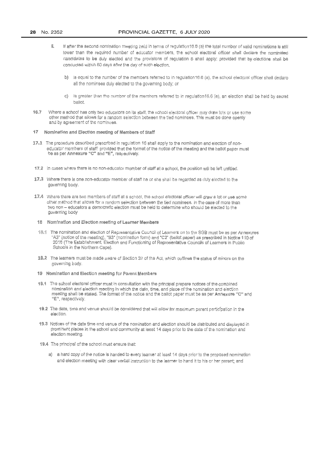- ii. If after the second nomination meeting held in terms of redulation 16.6 (a) the total number of valid nominations is still lower than the required number of educator members, the school electoral officer shall declare the nominated candidates to be duly elected and the provisions of requiation 8 shall apply; provided that by olections shall be conducted within 60 days after the day of such election.
	- b) is equal to the number of the members referred to in regulation 16.6 (a), the school electoral officer shall declare all the nominees duly elected to the governing body; or
	- c) is greater than the number of the members referred to in regulation 16.6 (a), an election shall be held by secret ballot.
- 16.7 Where a school has only two educators on its staff, the school electoral officer may draw lots or use some other method that allows for a random selection between the tied nominees. This must be done openly and by agreement of the nominges.

#### 17 Nomination and Election meeting of Members of Staff

- 17.1 The procedure described prescribed in regulation 16 shall apply to the nomination and election of noneducator members of staff provided that the format of the notice of the meeting and the ballot paper must be as per Annexure "C" and "E", respectively.
- 17.2 In cases where there is no non-educator momber of staff at a school, the position will be left unfilled.
- 17.3 Where there is one non-educator member of staff he or she shall be regarded as duly elected to the governing body.
- 17.4 Where there are two members of staff at a school, the school electoral officer will draw a lot or use some other method that allows for a random selection between the tied nominees. In the case of more then two non-educators a democratic election must be held to determine who should be elected to the governing body
- 18 Nomination and Election meeting of Learner Members
- 18.1 The nomination and election of Representative Council of Learners on to the SGB must be as per Annexures "A3" (notice of the meeting), "B3" (nomination form) and "C2" (ballot paper) as prescribed in Notice 110 of 2016 (The Establishment, Election and Functioning of Reprosentative Councils of Learners in Public Schools in the Northern Cape).
- 18.2 The learners must be made aware of Section 32 of the Act, which outlines the status of minors on the governing body.
- 19 Nomination and Election meeting for Parent Members
- 19.1 The school electoral officer must in consultation with the principal prepare notices of the combined nomination and election meeting in which the date, time, and place of the nomination and election meeting shall be stated. The format of the notice and the ballot paper must be as per Annexure "C" and "E", respectively.
- 19.2 The date, time and venue should be considered that will allow for maximum parent participation in the alaction
- 19.3 Notices of the date time and venue of the nomination and election should be distributed and displayed in prominent places in the school and community at least 14 days prior to the date of the nomination and election meeting.
- 19.4 The principal of the school must ensure that:
	- a) a hard copy of the notice is handed to every learner at least 14 days prior to the proposed nomination and election meeting with clear verbal instruction to the learner to hand it to his or her parent: and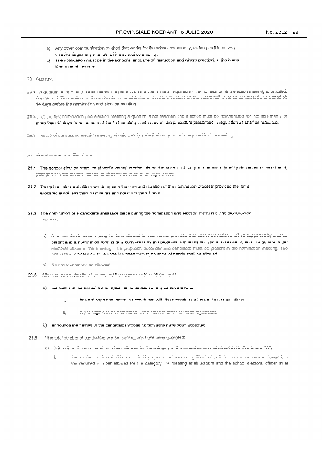- b) Any other communication method that works for the school community, as long as it in no way disadvantages any member of the school community;
- c) The notification must be in the school's language of instruction and where practical, in the home language of learners.
- 20 Quorum
- 20.1 A guorum of 15 % of the total number of parents on the voters roll is required for the nomination and election meeting to proceed. Annexure J "Declaration on the verification and updating of the parent details on the voters roll" must be completed and algned off 14 days before the nomination and election meeting.
- 20.2 If at the first nomination and election meeting a quorum is not reached, the election must be rescheduled for not less than 7 or more than 14 days from the date of the first meeting in which event the procedure prescribed in regulation 21 shall be repeated.
- 20.3 Notice of the second election meeting should clearly state that no quorum is required for this meeting.

## 21 Nominations and Eloctions

- 21.1 The school election team must verify voters' credentials on the voters roll. A green barcode (dentity document or smart card, passport or valid driver's license shall serve as proof of an eligible voter
- 21.2 The school electoral officer will determine the time and duration of the nomination process: provided the time allocated is not less than 30 minutes and not more than 1 hour.
- 21.3 The nomination of a candidate shall take place during the nomination and eloction meeting giving the following process:
	- a) A nomination is made during the time allowed for nomination provided that such nomination shall be supported by another parent and a nomination form is duly completed by the proposer, the seconder and the candidate, and is lodged with the electoral officer in the meeting. The proposer, seconder and candidate must be present in the nomination meeting. The nomination process must be done in written format, no show of hands shall be allowed.
	- b) No proxy votes will be allowed.
- 21.4 After the nomination time has expired the school electoral officer must:
	- a) consider the nominations and relect the nomination of any candidate who:
		- $\mathbf{L}$ has not been nominated in accordance with the procedure set out in these regulations;
		- $\mathbf{H}$ is not eligible to be nominated and elected in terms of these regulations;
	- b) ennounce the names of the candidatos whose nominations have been accepted.
- 21.5 If the total number of candidates whose nominations have been accepted:
	- a) is less than the number of members allowed for the category of the school concerned as set out in Annexure "A",
		- $\mathbf{i}$ . the nomination time shall be extended by a period not exceeding 30 minutes, if the nominations are still lower than the required number allowed for the category the meeting shall adjourn and the school electoral officer must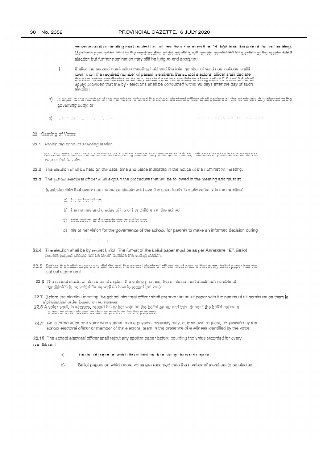convene another meeting rescheduled for not less than 7 or more than 14 days from the date of the first meeting. Members nominated prior to the rescheduling of the meeting, will remain nominated for election at the rescheduled election but further nomination may still be lodged and accepted.

- $\mathbf{I}$ if after the second nomination meeting held and the total number of valid nominations is still lower than the required number of parent members, the school electoral officer shall declare the nominated candidates to be duly elected and the provisions of regulation 8.5 and 8.6 shall apply; provided that the by - elections shall be conducted within 90 days after the day of such election.
- b) is equal to the number of the members referred the school electoral officer shall declare all the nominees duly elected to the governing body; or
- c) Regardiant ten no consideration and consistent (3) 注入 (3) 12 对待的, (b) 硬 Width' odb),

#### 22 Casting of Votos

#### 22.1 Prohibited conduct at voting station

No candidate within the boundaries of a voting station may attempt to induce, influence or persuade a person to vote or not to vote.

- 22.2 The election shall be held on the date, time and place indicated in the notice of the nomination meeting.
- 22.3 The school electoral officer shall explain the procedure that will be followed in the meeting and must at

least stipulate that every nominated candidate will have the opportunity to state verbaily in the meeting:

- a) his or her name;
- b) the names and grades of his or her children in the school:
- c) occupation and experience or skills; and
- d) his or her vision for the governance of the school, for parents to make an informed decision during

- 22.4 The election shall be by secret ballot. The format of the ballot paper must be as per Annexure "E". Ballot papers (ssued should not be taken outside the voting station.
- 22.5 Before the ballot papers are distributed, the school electoral officer must ensure that every ballot paper has the school stamp on it.
- 22.6 The achool electoral officor must explain the voting process, the minimum and maximum number of candidates to be voted for as well as how to record the vote
- 22.7 Before the election meeting the school electoral officer shall prepare the ballot paper with the names of all nominees on them in alchabetical order based on sumames.
- 22.8 A voter shall, in aecrecy, record his or her vote on the ballot paper and then deposit the ballot paper in a box or other closed container provided for the purpose.
- 22.9 An illiterate voter or a voter who suffers from a physical disability may, at their own request, be assisted by the school electoral officer or member of the electoral team in the presence of a witness identified by the voter.

22.10 The school electoral officer shall relect any spolled paper before counting the votes recorded for every candidate if:

- $\Xi$ The ballot paper on which the official mark or stamp does not appear:
- b) Ballot papers on which more votes are recorded than the number of members to be elected: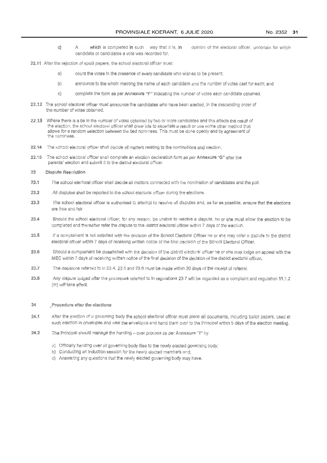- C) A 1000 which is completed in such way that it is, in opinion of the electoral officer, uncertain for which candidate or candidates a vote was recorded for.
- 22.11 After the rejection of spoilt papers, the school electoral officer must:
	- a) count the votes in the presence of every candidate who wishes to be present;
	- b) announce to the wholo meeting the name of each candidate and the number of votes cast for each: and
	- $\hat{\mathbf{C}}$ complete the form as per Annexure "F" indicating the number of votes each candidate obtained.
- 22.12 The school electoral officer must announce the candidates who have been elected, in the descending order of the number of votes obtained.
- 22.13 Where there is a tie in the number of votes obtained by two or more candidates and this affects the result of the election, the school electoral officer shall draw lots to ascertain a result or use some other method that allows for a random selection between the tied nominees. This must be done openly and by agreement of the nominees.
- 22.14 The school electoral officer shall decide all matters relating to the nominations and election.
- 22.15 The school electoral officer shall complete an election declaration form as per Annexure "G" after the parents' election and submit it to the district electoral officer.

#### 93 **Dispute Resolution**

- $23.1$ The school electoral officer shall decide all matters connected with the nomination of candidates and the poli.
- 23.2 All disputes shall be reported to the school electoral officer during the elections.
- $23.3$ The school electoral officer is authorised to attempt to resolve all disputes and, as far as possible, ensure that the elections are free and fair
- 23.4 Should the school electoral officer, for any reason, be unable to resolve a dispute, he or she must allow the election to be completed and thereafter refer the dispute to the district electoral officer within 7 days of the election.
- うまえ If a complainant is not satisfied with the decision of the School Electoral Officer he or she may refer a dispute to the district electoral officer within 7 days of receiving written notice of the final decision of the School Electoral Officer.
- Should a complainant be dissatisfied with the decision of the district electoral officer he or she may lodge an appeal with the 23.6 MEC within 7 days of receiving written notice of the final decision of the decision of the district electoral officer.
- 23.7 The decisions referred to in 23.4, 23.5 and 23.6 must be made within 30 days of the roceipt of referral.
- 23.8 Any dispute lodged after the processes referred to in regulations 23.7 will be regarded as a complaint and requlation 11,1.2 (m) will take effect.

#### 24 Procedure after the elections

- After the election of a governing body the school electoral officer must place all documents, including ballot papers, used at  $24.1$ such election in envelopes and seal the envelopes and hand them over to the Principal within 5 days of the election meeting.
- 24.2 The Principal should manage the handing - over process as per Annexure "I" by:
	- a) Officially handing over all governing body files to the newly elected governing body;
	- b) Conducting an induction seasion for the newly elected members and;
	- c) Answering any questions that the newly elected governing body may have.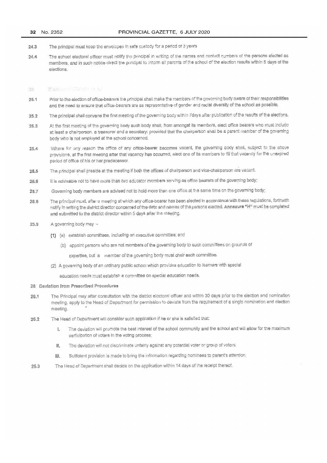32 No. 2352

- The orincinal must keep the envelopes in safe custody for a period of 3 years 94.3
- The school electoral officer must notify the principal in writing of the names and contact numbers of the persons elected as  $24.4$ members, and in such notice direct the principal to inform all parcrits of the school of the election results within 5 days of the elections.

#### Easter of Watch on the  $^{63/4}_{-240}$

- Prior to the election of office-bearers the principal shall make the members of the governing body aware of their responsibilities 25.1 and the need to ensure that office-bearers are as representative of gender and recial diversity of the school as possible.
- The principal shall convene the first meeting of the governing body within 7days after publication of the results of the elections. 25.2
- At the first meeting of the governing body such body shall, from amongst its members, elect office bearers who must include 25.3 at least a chairperson, a treasurer and a secretary; provided that the chairperson shall be a parent member of the governing body who is not employed at the school concerned.
- Where for any reason the office of any office-bearer becomes vacant, the governing body shall, subject to the above 25.4 provisions, at the first meeting after that vacancy has occurred, elect one of its members to fill that vacancy for the unexpired period of office of his or her predecessor.
- The principal shall preside at the meeting if both the offices of chairperson and vice-chairperson are vacant.  $25.5$
- It is advisable not to have more than two educator mombers serving as office bearers of the governing body;  $26.6$
- Governing body members are advised not to hold more than one office at the same time on the governing body; 使馬 学
- The principal must, after a meeting at which any office-bearer has been elected in accordance with these regulations, forthwith 25 R notify in writing the district director concerned of the date and names of the persons elected. Annexure "H" must be completed and submitted to the district director within 5 days after the meeting.
- 25.9 A governing body may -
	- (1) (a) establish committees, including an executive committee; and
		- (b) appoint persons who are not members of the governing body to such committees on grounds of

expertise, but 'a member of the governing body must chair each committee.

(2) A governing body of an ordinary public school which provides education to learners with special

education needs must establish a committee on special education needs.

#### 26 Deviation from Prescribed Procedures

- The Principal may after consultation with the district electoral officer and within 30 days prior to the election and nomination 26.1 meeting, apply to the Head of Department for permission to deviate from the requirement of a singlo nomination and election meeting.
- The Head of Department will consider such application if he or she is satisfied that: 26.2
	- The deviation will promote the best interest of the school community and the school and will allow for the maximum  $\mathbf{L}$ participation of voters in the voting process:
	- The deviation will not discriminate unfairly against any potential voter or group of voters;  $\mathbf{u}$ .
	- Sufficient provision is made to bring the information regarding nominees to parent's attention. III.
- The Head of Department shall decide on the application within 14 days of the receipt thereof. 26.3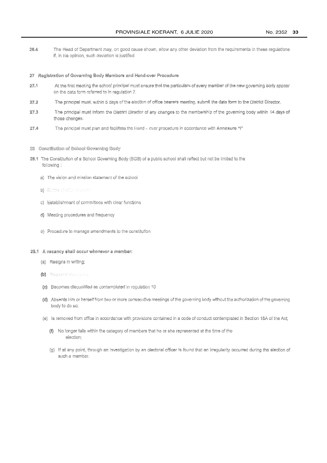- 26.4 The Head of Department may, on good cause shown, allow any other deviation from the requirements in these requiations if, in his opinion, such deviation is lustified.
- 27 Registration of Governing Body Membors and Hand-over Procedure
- $27.1$ At the first meeting the school principal must ensure that the particulars of every member of the new governing body appear on the data form referred to in regulation 7.
- The principal must, within 5 days of the election of office bearers meeting, submit the data form to the District Director. 27.2
- $27.3$ The principal must inform the District Director of any changes to the membership of the governing body within 14 days of those changes.
- $27.4$ The principal must plun and facilitate the Hand - over procedure in accordance with Annexure "!"
- 28 Constitution of School Governing Body
- 28.1 The Constitution of a School Governing Body (SGB) of a public school shall reflect but not be limited to the following:
	- a) The vision and mission statement of the school
	- b) During of Gilbert Legation
	- c) Establishment of committees with clear functions
	- d) Meeting procedures and frequency
	- e) Procedure to manage amendments to the constitution
- 29.1 A vacancy shall occur whenever a member:
	- (a) Resigns in writing;
	- (b) Sacretest Baseddal
	- (c) Becomes disqualified as contemplated in regulation 10
	- (d) Absents him or herself from two or more consecutive meetings of the governing body without the authorization of the governing body to do so:
	- (e) la removed from office in accordance with provisions contained in a code of conduct contemplated in Section 18A of the Act;
		- (f) No longer falls within the category of members that he or she represented at the time of the election;
		- (g) If at any point, through an investigation by an olectoral officer is found that an irregularity occurred during the election of such a member.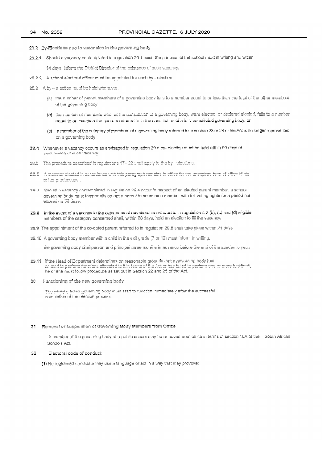#### 29.2 By-Elections due to vacancles in the governing body

29.2.1 Should a yacancy contemplated in regulation 29.1 exist, the principal of the school must in writing and within

14 days, inform the District Director of the existence of such vacancy.

- 29.2.2 A school electoral officer must be appointed for each by election.
- 29.3 A by election must be held whenever.
	- (a) the number of paront members of a governing body falls to a number equal to or less than the total of the other members of the governing body:
	- (b) the number of members who, at the constitution of a governing body, were elected, or declared elected, falls to a number equal to or less than the quorum referred to in the constitution of a fully constituted governing body; or
	- (c) a mamber of the category of members of a governing body referred to in section 23 or 24 of the Act is no longer represented on a governing body
- 29.4 Whenever a vacancy occurs as envisaged in requiation 29 a by-election must be held within 90 days of occurrence of such vacancy.
- 29.5 The procedure described in requisitons 17-22 shall apply to the by elections.
- 29.6 A member elected in accordance with this paragraph remains in office for the unexpired term of office of his or her predecessor.
- 29.7 Should a vacancy contemplated in regulation 29.4 occur in respect of an elected parent member, a school governing body must temporarily co-opt a parent to serve as a member with full voting rights for a period not exceeding 00 days.
- 29.8 In the event of a vacancy in the categories of membership referred to in regulation 4.2 (b), (c) and (d) eligible members of the category concerned shall, within 60 days, hold an election to fill the vacancy.
- 29.9 The appointment of the co-opted parent referred to in regulation 29.8 shall take place within 21 days.
- 29.10 A governing body member with a child in the exit grade (7 or 12) must inform in writing,

the governing body chairperson and principal three months in advance before the end of the academic year.

29.11 If the Head of Dopertment determines on reasonable grounds that a governing body has ceased to perform functions allocated to it in terms of the Act or has failed to perform one or more functions, he or she must follow procedure as set out in Section 22 and 25 of the Act.

#### 30 Functioning of the new governing body

The newly elected governing body must start to function immediately after the successful completion of the election process.

#### 31 Removal or suspension of Governing Body Members from Office

A member of the governing body of a public school may be removed from office in terms of section 18A of the South African Schools Act.

#### $32$ Electoral code of conduct

(1) No registered condidate may use a language or act in a way that may provoke: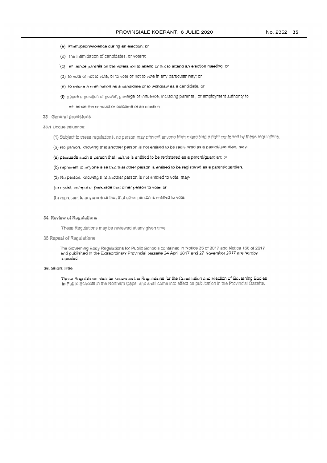- (a) Interruption/violence during an election; or
- (b) the intimidation of candidates, or voters;
- (c) influence parents on the voters roll to attend or not to attend an election meeting; or
- (d) to vote or not to vote, or to vote or not to vote in any particular way; or
- (e) to refuse a nomination as a candidate or to withdraw as a candidate; or
- (f) abuse a position of power, privilege or influence, including parental, or employment authority to influence the conduct or outcome of an election.

#### 33 General provisions

#### 33.1 Undue Influence:

- (1) Subject to these regulations, no person may prevent anyone from exercising a right conferred by these regulations.
- (2) No person, knowing that another person is not entitled to be registered as a parent/guardian, may-
- (a) persuade such a person that he/she is entitled to be registered as a parent/guardian; or
- (b) represent to anyone else that that other person is entitled to be registered as a parent/quardian.
- (3) No person, knowing that another person is not entitled to vote, may-
- (a) assist, compel or persuade that other person to vote; or
- (b) represent to anyone else that that other person is entitled to yote.

#### 34. Review of Regulations

These Regulations may be reviewed at any given time.

### 35 Repeal of Regulations

The Governing Body Regulations for Public Schools contained in Notice 35 of 2017 and Notice 166 of 2017 and oublished in the Extraordinary Provincial Gazette 24 April 2017 and 27 November 2017 are hereby recealed.

#### 36. Short Title

These Regulations shall be known as the Regulations for the Constitution and Election of Governing Bodles In Public Schools in the Northern Cape, and shall come into effect on publication in the Provincial Gazette.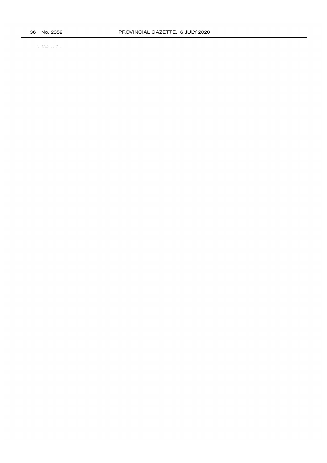$\mathbb{T}\text{-}\mathbb{R}\mathbb{R}$  ,  $\mathbb{C}\mathbb{R}$  ,<br>  $\mathbb{R}$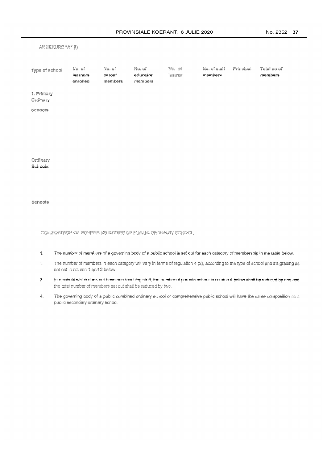| Type of school         | learnors | paront<br>enrolled members members | No. of No. of No. of<br>educator | No. of<br>learner | No. of staff Principal Total no of<br>etemper | members |
|------------------------|----------|------------------------------------|----------------------------------|-------------------|-----------------------------------------------|---------|
| 1. Primary<br>Ordinary |          |                                    |                                  |                   |                                               |         |
| <b>Schools</b>         |          |                                    |                                  |                   |                                               |         |
| Ordinary<br>Schools    |          |                                    |                                  |                   |                                               |         |

**Schools** 

ANNEXURE "A" (I)

COMPOSITION OF GOVERNING BODIES OF PUBLIC ORDINARY SCHOOL

- The number of members of a governing body of a public school is set out for each category of membership in the table below. 1.
- The number of members in each category will vary in terms of regulation 4 (2), according to the type of school and it's grading as  $\mathcal{L}_{\mathcal{L}}$ set out in column 1 and 2 below.
- З. In a school which does not have non-teaching staff, the number of parents set out in column 4 below shall be reduced by one and the total number of members set out shall be reduced by two.
- $\stackrel{d}{\Rightarrow}$ The governing body of a public combined ordinary school or comprehensive public school will have the same composition as a public secondary ordinary school.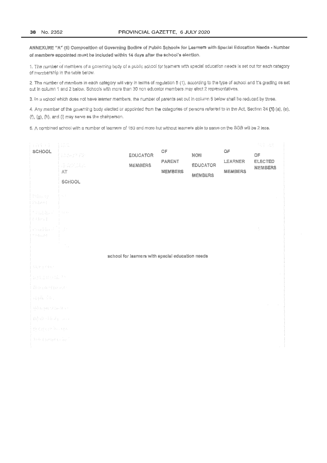ANNEXURE "A" (II) Composition of Governing Bodies of Public Schools for Learners with Special Education Needs - Number of members appointed must be included within 14 days after the school's election.

1. The number of members of a governing body of a public school for learners with special education needs is set out for each category of membership in the table below.

2. The number of members in each category will vary in terms of regulation 5 (1), according to the type of school and it's grading as set out in column 1 and 2 below. Schools with more than 30 non educator members may elect 2 representatives.

3. In a school which does not have learner members, the number of parents set out in column 5 below shall be reduced by three.

4. Any member of the governing body elected or appointed from the categories of persons referred to in the Act, Section 24 (1) (a), (e), (f), (g), (h), and (i) may serve as the chairperson.

5. A combined school with a number of learners of 150 and more but without learners able to serve on the SGB will be 2 less.

| n Anima D                                                                                                                                    | an mar.<br>Tagairtí                |                                                 |                |                |                | Part (41)                        |
|----------------------------------------------------------------------------------------------------------------------------------------------|------------------------------------|-------------------------------------------------|----------------|----------------|----------------|----------------------------------|
| SCHOOL                                                                                                                                       | 103839.73                          | <b>EDUCATOR</b>                                 | OF             | NON            | Ō₽             | OF                               |
|                                                                                                                                              | <b>SERVIAN</b>                     | <b>MEMBERS</b>                                  | <b>PARENT</b>  | EDUCATOR       | <b>LEARNER</b> | <b>ELECTED</b><br><b>MEMBERS</b> |
|                                                                                                                                              | AT                                 |                                                 | <b>MEMBERS</b> | <b>MEMBERS</b> | <b>MEMBERS</b> |                                  |
|                                                                                                                                              | SCHOOL                             |                                                 |                |                |                |                                  |
| Interesty<br>$\{\gamma_{1i}\}_{i\in\mathcal{I}}$                                                                                             | $\mathbb{E}[\phi_{\alpha}(\cdot)]$ |                                                 |                |                |                |                                  |
| $\mathcal{F}=\left\{\begin{array}{cc} 1 & 1 \\ 0 & 1 \end{array}\right\}$ , $\left\{\begin{array}{c} 1 \\ 1 \end{array}\right\}$<br>d Chevil | de super                           |                                                 |                |                |                |                                  |
| Company of Apple<br>$\mathcal{F}^{\alpha}(x)$ [ $_{\{x\in\mathcal{X}\}}\mathcal{E}^{\alpha}$ ]]                                              |                                    |                                                 |                |                |                | ÷,                               |
|                                                                                                                                              | $\mathcal{P}_{\rm{max}}$           |                                                 |                |                |                |                                  |
|                                                                                                                                              |                                    | school for isamers with special education needs |                |                |                |                                  |
| <b>Uning Ord</b>                                                                                                                             |                                    |                                                 |                |                |                |                                  |
| (3) 同时间的                                                                                                                                     |                                    |                                                 |                |                |                | $\sim$                           |
| Bagain(anad)                                                                                                                                 |                                    |                                                 |                |                |                |                                  |
| 司事故 草英学                                                                                                                                      |                                    |                                                 |                |                |                |                                  |
| (6) is publication.                                                                                                                          |                                    |                                                 |                |                |                | $\sim$                           |
| 0200 (1400) 1000                                                                                                                             |                                    |                                                 |                |                |                |                                  |
| 使有限的第三项                                                                                                                                      |                                    |                                                 |                |                |                |                                  |
| 106 (pendating)                                                                                                                              |                                    |                                                 |                |                |                |                                  |
|                                                                                                                                              |                                    |                                                 |                |                |                |                                  |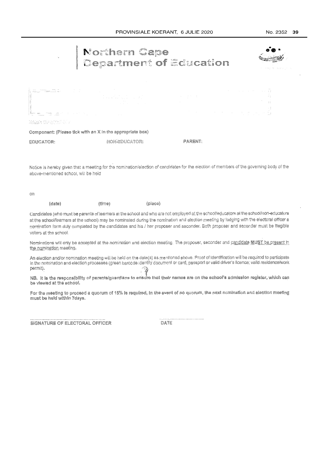| PROVINSIALE KOERANT, 6 JULIE 2020 |  |  |
|-----------------------------------|--|--|
|                                   |  |  |

No. 2352 39

| $\gamma_{\rm eff}$ .                  | Northern Cape<br>Department of Education                                                                                                                                                                                                                                                                                                                                                                                                                                                                                                                                                                        |                                                | the constant the country of the ca-                                                        |
|---------------------------------------|-----------------------------------------------------------------------------------------------------------------------------------------------------------------------------------------------------------------------------------------------------------------------------------------------------------------------------------------------------------------------------------------------------------------------------------------------------------------------------------------------------------------------------------------------------------------------------------------------------------------|------------------------------------------------|--------------------------------------------------------------------------------------------|
| 탈리뷰 Tg (스타이) 시스템 (March Andrew March) | the contract of the contract of the contract of the<br>the contract of the contract of the contract of the contract of<br>$\alpha$ , and the contribution of the contribution of the contribution of the contribution of the contribution of the contribution of the contribution of the contribution of the contribution of the contribution of the contri<br>$\mathcal{L}^{\text{max}}_{\text{max}}$ and the contribution of the contribution of the contribution of the contribution of the contribution of the contribution of the contribution of the contribution of the contribution of the contribution | 医心包 医牙状骨折<br>the control of the control of the | state of the control of the state of<br>where the contract of the contract of $\mathbb{Z}$ |
| Maker the strict is                   |                                                                                                                                                                                                                                                                                                                                                                                                                                                                                                                                                                                                                 |                                                |                                                                                            |
| никат                                 | Component: (Please tick with an X in the appropriate box)<br><b>MON-EDUCATOR:</b>                                                                                                                                                                                                                                                                                                                                                                                                                                                                                                                               |                                                |                                                                                            |

Notice is hereby given that a meeting for the nomination/election of condidates for the election of members of the governing body of the above-mentioned school, will be held

an

 $(dab)$ 

 $(time)$ 

(place)

Candidates (who must be parents of learners at the school and who are not employed at the school/educators at the school/non-educators at the school/learners at the school) may be nominated during the nomination and election meeting by lodging with the electoral officer a nomination form duly completed by the candidates and his / her proposer and seconder. Both proposer and seconder must be illegible voters at the school.

Nominations will only be accepted at the nomination and election meeting. The proposer, seconder and candidate MUST be present in the nomination meeting.

An election and/or nomination meeting will be held on the date(s) as mentioned above. Proof of identification will be required to participate In the nomination and election processes (green barcode identity document or card, pessport or valid driver's licence; valid residence/work  $\mathbb{C}$ permit).

NB. It is the responsibility of parents/guardians to ensure that their names are on the school's admission register, which can be viewed at the school.

For the meeting to proceed a quorum of 15% is required, in the event of no quorum, the next nomination and election meeting must be held within 7days.

*RIGNATURE OF ELECTORAL OFFICER* 

DATE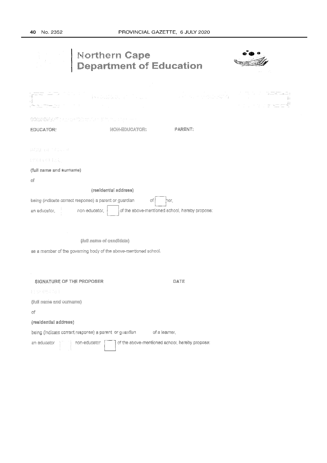|                           | <b>Example 19 September 11 Separtment of Education</b>                                                  |                                                | $1.1 - 1.$ |
|---------------------------|---------------------------------------------------------------------------------------------------------|------------------------------------------------|------------|
|                           | i<br>1990 - Paris Carlos II, prima politik (m. 1900)<br>1990 - Paris Carlos II, prima politik (m. 1900) |                                                |            |
| <b>EDUCATOR:</b>          | <mark>conficient</mark> almostication in the organism<br>MON-EDUCATOR:                                  | <b>PARENT:</b>                                 |            |
| 钢钢 (4-144) 通<br>时间(中国公司)  |                                                                                                         |                                                |            |
| (full name and surname)   |                                                                                                         |                                                |            |
| ÛÎ                        |                                                                                                         |                                                |            |
|                           | (residential address)                                                                                   |                                                |            |
|                           | being (indicate correct response) a parent or guardian<br>OŤ.                                           | her,                                           |            |
| an educator,              | non-educator,                                                                                           | of the above-mentioned school, hereby propose: |            |
|                           | (full name of candidate)                                                                                |                                                |            |
|                           | as a member of the governing body of the above-mentioned school.                                        |                                                |            |
|                           |                                                                                                         |                                                |            |
| SIGNATURE OF THE PROPOSER |                                                                                                         | DATE                                           |            |
| <b>SEP 484 RH</b>         |                                                                                                         |                                                |            |
| (full name and ourname)   |                                                                                                         |                                                |            |
| Οf                        |                                                                                                         |                                                |            |
| (residential address)     |                                                                                                         |                                                |            |
|                           | being (indicate correct response) a parent or guardian                                                  | of a learner,                                  |            |
| an educator               | non-educator                                                                                            | of the above-mentioned school, hereby propose: |            |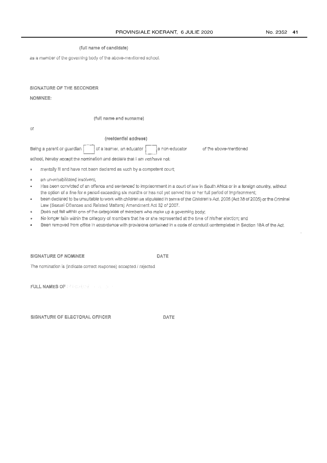#### (full name of candidate)

as a member of the governing body of the above-mentioned school.

#### SIGNATURE OF THE SECONDER

NOMINEE:

(full name and surname)

οf

## (residential address)

Being a parent or guardian of a learner, an educator a non-educator of the above-mentioned

school, hereby accept the nomination and declare that I am not/have not:

- mentally III and have not been declared as such by a competent court;
- an un-rehabilitated insolvent:  $\Delta$
- Has been convicted of an offence and sentenced to imprisonment in a court of law in South Africa or in a foreign country, without the option of a fine for a period exceeding six months or has not yet served his or her full period of (mprisonment;
- been declared to be unsuitable to work with children as stipulated in terms of the Children's Act, 2005 (Act 38 of 2005) or the Criminal Law (Sexual Oftences and Related Matters) Amendment Act 32 of 2007.
- Does not fail within one of the categories of members who make up a governing body;
- No longer falls within the category of members that he or she represented at the time of his/her election; and
- Been removed from office in accordance with provisions contained in a code of conduct contemplated in Section 18A of the Act.

#### SIGNATURE OF NOMINEE

DATE

The nomination is (indicate correct response) accepted / rejected

**FULL NAMES OF MARKERS AND STATE** 

SIGNATURE OF ELECTORAL OFFICER

DATE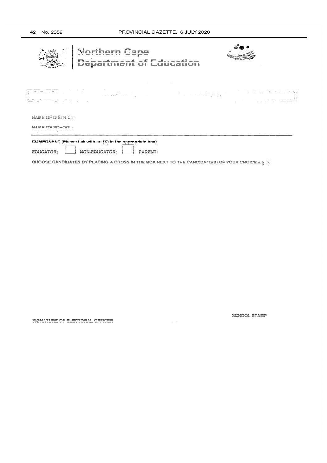|                                             | <b>Northern Cape</b><br><b>Department of Education</b>                               |                                                                                                                                                                                                                                                                                                                                                                                                                      |
|---------------------------------------------|--------------------------------------------------------------------------------------|----------------------------------------------------------------------------------------------------------------------------------------------------------------------------------------------------------------------------------------------------------------------------------------------------------------------------------------------------------------------------------------------------------------------|
| .<br>1970 - Alfred Louis                    | the process of the control of the con-                                               | The Secretary of the Company of the Company<br>$\label{eq:Ricci} \mathcal{L}_{\mathcal{L}}(\mathbf{a},\mathbf{v}^{\text{tr}}_{\text{tr}}(\mathbf{v}_{\text{tr}}),\mathbf{f}_{\text{tr}}) = \mathcal{L}_{\text{tr}}(\mathbf{v}_{\text{tr}}) + \mathcal{L}_{\text{tr}}(\mathbf{v}_{\text{tr}}) + \mathcal{L}_{\text{tr}}(\mathbf{v}_{\text{tr}}) \mathbf{f}_{\text{tr}}(\mathbf{v}_{\text{tr}})$<br>ture of the second |
| <b>NAME OF DISTRICT:</b><br>NAME OF SCHOOL: |                                                                                      |                                                                                                                                                                                                                                                                                                                                                                                                                      |
| EDUCATOR:                                   | MPONENT (Please tick with an (X) in the appropriate box)<br>NON-EDUCATOR:<br>PARENT: |                                                                                                                                                                                                                                                                                                                                                                                                                      |

CHOOSE CANDIDATES BY PLACING A CROSS IN THE BOX NEXT TO THE CANDIDATE(S) OF YOUR CHOICE  $a.g.$ 

SIGNATURE OF ELECTORAL OFFICER

SCHOOL STAMP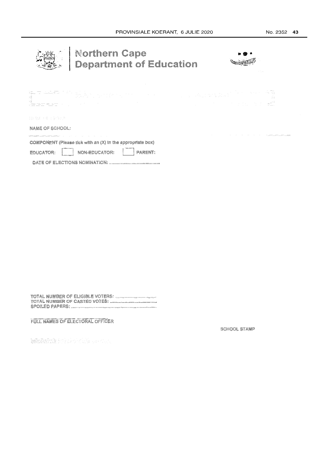| $\sim 10^{-1}$<br>12   | N<br>1ern i<br>artment of Education<br>De                                                                                                                       | in the                                                                                                                                                                                                                                                                                                                                                                                                                                                                                                      |
|------------------------|-----------------------------------------------------------------------------------------------------------------------------------------------------------------|-------------------------------------------------------------------------------------------------------------------------------------------------------------------------------------------------------------------------------------------------------------------------------------------------------------------------------------------------------------------------------------------------------------------------------------------------------------------------------------------------------------|
|                        | <b>Contractor</b><br>$\mathcal{L}_{\text{max}}$ and the second contribution of the second contribution of the second contribution of $\mathcal{L}_{\text{max}}$ | 不可<br>The Back of the control of the control of the control of the control of the control of the control of the control of the control of the control of the control of the control of the control of the control of the control of<br>and 1<br>$\mathcal{L}_{\mathcal{A}}$ , and the set of the set of the set of the set of the set of the set of the set of the set of the set of the set of the set of the set of the set of the set of the set of the set of the set of the set of th<br>the company's |
| 12 据1 4 平常作的形          |                                                                                                                                                                 |                                                                                                                                                                                                                                                                                                                                                                                                                                                                                                             |
| <b>NAME OF SCHOOL:</b> | the contract of the contract of the contract of the                                                                                                             |                                                                                                                                                                                                                                                                                                                                                                                                                                                                                                             |
|                        | PONENT (Please tick with an (X) in the appropriate box)                                                                                                         |                                                                                                                                                                                                                                                                                                                                                                                                                                                                                                             |
|                        | <b>PARENT</b>                                                                                                                                                   |                                                                                                                                                                                                                                                                                                                                                                                                                                                                                                             |

FULL NAMES OF ELECTORAL OFFICER

**SCHOOL STAMP** 

SAARTS AT TEACHER TEACH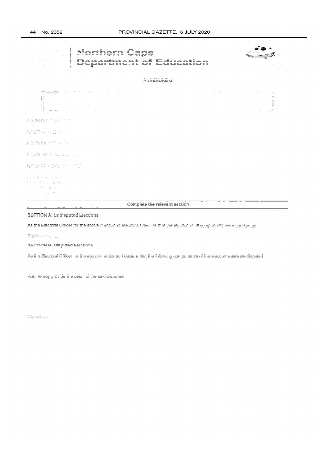

## **SECTION A: Undisputed Elections**

As the Electoral Officer for the above-mentioned elections I declare that the election of all components wore undisputed.

Signabae.

**SECTION B; Disputed Elections** 

As the Electoral Officer for the above-mentioned I deciare that the following component/s of the election was/were disputed

And hereby provide the detail of the said dispute/s,

Signebas: \_ \_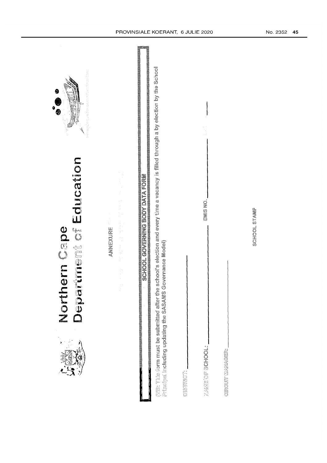| 医乳房试验检尿道炎 计设备的编码 医水肿<br>0<br>6<br>5<br>5<br>5                                                                                                                                                                                                                                                                                                                                                                                                                                                                                                                                                                                                                                                        |
|------------------------------------------------------------------------------------------------------------------------------------------------------------------------------------------------------------------------------------------------------------------------------------------------------------------------------------------------------------------------------------------------------------------------------------------------------------------------------------------------------------------------------------------------------------------------------------------------------------------------------------------------------------------------------------------------------|
| <b>TANG MENGENTAK PERSEBUT PERANJAN PERANJAN PERANJAN PERANJAN PERANJAN PERANJAN PERANJAN PERANJAN PERANJAN PERAN<br/>PERAng perang perang perang perang perang perang perang perang perang perang perang perang perang penyanya per</b><br>$\mathbb{Q} \otimes \mathbb{B}$ : This form multimitated after the school's election and event error interaction is filled through a by election by the School<br>rinent Education<br>$\mathcal{I}$<br>EMIS NO.<br>医无色细胞 生物的 医心脏病医心的<br>SCHOOL STAMP<br>ANNEXURE<br>ern Cape<br>(percent including updating the SAMS Crowermance Moodel)<br>医皮质<br>$\hat{\mathcal{N}}$<br>North<br>Depai<br>्र<br><b>HODEO</b> SO NORSK<br>CIRCUIT MANAGER:<br>DISTRICT: |

PROVINSIALE KOERANT, 6 JULIE 2020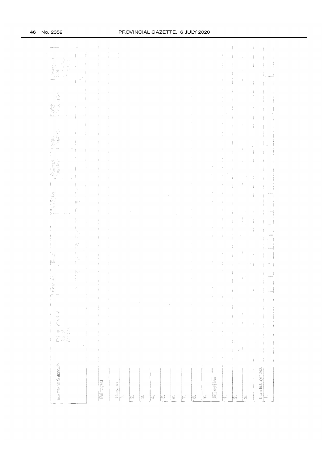| Sumama & Initiative                                       | 秦朝  秦陽  秦陽  秦陽  秦朝  秦朝  秦朝  秦朝  <br> 秦朝  秦陽  秦陽  秦陽 <br>$\frac{1}{2}$<br>$\frac{1}{2}$                                                                     | $\frac{1}{2}$ (signs)      | p                                  | a Nifer                          | Condris<br>引喷电线                      | <b>Notational</b><br>ÿ | <b>COSTO HACTOS</b>          |                                  |
|-----------------------------------------------------------|------------------------------------------------------------------------------------------------------------------------------------------------------------|----------------------------|------------------------------------|----------------------------------|--------------------------------------|------------------------|------------------------------|----------------------------------|
|                                                           |                                                                                                                                                            | p.<br>P.                   | Ð<br>ţ.<br>$\hat{\beta}^{\lambda}$ | $\left\{ \psi \right\}$<br>ţ.    | ÷.<br>ţ.                             | ŧ.<br>ţ<br>ţ           | ŧ.<br>ţ<br>Š,<br>q           | ŧ<br>$\bar{z}$<br>Î              |
| $\frac{1}{3}$                                             | <br>ţ<br>$\frac{t}{3}$<br>$\frac{1}{2}$                                                                                                                    | $\frac{1}{2}$              | ţ                                  | $\frac{1}{2}$                    | ŧ<br>Ť<br>Ť<br>ł                     | ŧ<br>ŧ<br>j<br>ŧ       | ţ                            | ł                                |
| $\mathcal{G}$<br><b>Pincipal</b>                          | $\begin{array}{c} 1 \\ 1 \end{array}$<br>$\frac{1}{2}$<br>$\frac{1}{2}$<br>ŧ<br>$\begin{array}{c} \vdots \\ \vdots \\ \vdots \end{array}$<br>$\frac{1}{2}$ | Ĵ.                         | ÷<br>÷<br>÷                        | Ĵ                                | J<br>Ť<br>ŧ<br>f                     | ŧ<br>Ť<br>Ť<br>ŧ       | $\frac{1}{2}$<br>ĵ<br>÷<br>Ť | Ť<br>$\frac{1}{2}$<br>$\ddagger$ |
| ÷                                                         | $\hat{\xi}$<br>Ť,<br>ł.<br>ţ.                                                                                                                              | ł,                         | ł.<br>$\ddot{\rm{r}}$<br>÷         | ÷.<br>÷.                         | $\ddot{\phantom{a}}$<br>$\cdot$<br>ŧ | ÷                      |                              |                                  |
| Parents.<br>1.                                            | $\hat{\boldsymbol{\beta}}$<br>$\alpha$                                                                                                                     | ł,                         |                                    |                                  |                                      |                        |                              |                                  |
| k                                                         |                                                                                                                                                            |                            |                                    |                                  |                                      |                        |                              |                                  |
| 65                                                        |                                                                                                                                                            | $\boldsymbol{\cdot}$       |                                    |                                  |                                      |                        |                              |                                  |
| Ŵ,                                                        |                                                                                                                                                            |                            |                                    |                                  |                                      |                        |                              |                                  |
| <br>Ni 3                                                  |                                                                                                                                                            |                            |                                    |                                  |                                      |                        |                              |                                  |
| $\mathfrak{S}$                                            |                                                                                                                                                            |                            |                                    |                                  |                                      |                        |                              |                                  |
| þ.                                                        |                                                                                                                                                            |                            |                                    |                                  |                                      |                        |                              |                                  |
| $\begin{bmatrix} \mathbb{Q}^1_{\mathbb{Q}} \end{bmatrix}$ |                                                                                                                                                            |                            | $\cdot$                            |                                  |                                      |                        |                              | $\ddot{\cdot}$<br>÷              |
| $\hat{\mathcal{I}}$<br>ļ65                                |                                                                                                                                                            |                            |                                    |                                  |                                      |                        |                              | $\cdot$                          |
| ſ<br><b>Bought</b>                                        | $\ddot{\phantom{a}}$<br>$\cdot$                                                                                                                            |                            |                                    |                                  | ÷                                    |                        | ÷                            | $\cdot$                          |
| $\ddot{\phantom{a}}$<br>$\rightleftharpoons$              | $\frac{1}{2}$<br>$\hat{\mathcal{L}}$<br>$\boldsymbol{\cdot}$                                                                                               |                            | ŧ                                  | $\ddot{\cdot}$<br>$\ddot{\cdot}$ | ÷<br>ł,                              |                        |                              | ĵ.                               |
| N                                                         |                                                                                                                                                            | ł                          |                                    |                                  |                                      |                        |                              | j                                |
| eti                                                       |                                                                                                                                                            | Ť.<br>$\ddot{\phantom{a}}$ |                                    |                                  |                                      |                        |                              |                                  |
|                                                           |                                                                                                                                                            |                            |                                    |                                  |                                      |                        |                              |                                  |
|                                                           |                                                                                                                                                            |                            |                                    |                                  |                                      |                        |                              |                                  |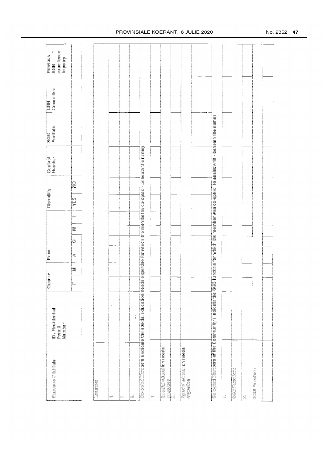| Sumance & Infilmin                                                                                                                     | <b>ID / Residential</b><br>Murriber<br>Permit | Gender   | Race |   |   | CANGERICATE |   | Combast<br>Number | - SGB<br>Portfolio | - SGB<br>Communithée | ежрен <sup>т</sup> іе пиже<br>Ііп угеант <del>а</del><br>÷<br><b>Previcus</b><br>SGB |
|----------------------------------------------------------------------------------------------------------------------------------------|-----------------------------------------------|----------|------|---|---|-------------|---|-------------------|--------------------|----------------------|--------------------------------------------------------------------------------------|
|                                                                                                                                        |                                               | Ë<br>ļu. | ₹    | Þ | Þ | ig<br>Vi    | P |                   |                    |                      |                                                                                      |
|                                                                                                                                        |                                               |          |      |   |   |             |   |                   |                    |                      |                                                                                      |
| <b>Lear mights</b>                                                                                                                     |                                               |          |      |   |   |             |   |                   |                    |                      |                                                                                      |
| L.                                                                                                                                     |                                               |          |      |   |   |             |   |                   |                    |                      |                                                                                      |
| $\mathbb{N}$                                                                                                                           |                                               |          |      |   |   |             |   |                   |                    |                      |                                                                                      |
| 45                                                                                                                                     | $\frac{1}{4}$                                 |          |      |   |   |             |   |                   |                    |                      |                                                                                      |
| Co-opted Cashers (indicate the special education needs expertise for which the member is co-opted - beneath the name)                  |                                               |          |      |   |   |             |   |                   |                    |                      |                                                                                      |
| ÷                                                                                                                                      |                                               |          |      |   |   |             |   |                   |                    |                      |                                                                                      |
| <b>Special education news</b><br>exportes<br>2.                                                                                        |                                               |          |      |   |   |             |   |                   |                    |                      |                                                                                      |
|                                                                                                                                        |                                               |          |      |   |   |             |   |                   |                    |                      |                                                                                      |
| Special estucation reeds<br>8090310003                                                                                                 |                                               |          |      |   |   |             |   |                   |                    |                      |                                                                                      |
|                                                                                                                                        |                                               |          |      |   |   |             |   |                   |                    |                      |                                                                                      |
| © occyped Desminers of the Community ( Indicate the SGB function for which the member was co-opted to assist with - beneath the manuel |                                               |          |      |   |   |             |   |                   |                    |                      |                                                                                      |
| $\stackrel{\circ}{\Rightarrow}$                                                                                                        |                                               |          |      |   |   |             |   |                   |                    |                      |                                                                                      |
| SGB Funcion:                                                                                                                           |                                               |          |      |   |   |             |   |                   |                    |                      |                                                                                      |
| $\epsilon_{\rm cl}$                                                                                                                    |                                               |          |      |   |   |             |   |                   |                    |                      |                                                                                      |
| <b>SGB</b> Funcion:                                                                                                                    |                                               |          |      |   |   |             |   |                   |                    |                      |                                                                                      |
|                                                                                                                                        |                                               | $\cdot$  |      |   |   |             |   |                   |                    |                      |                                                                                      |

## PROVINSIALE KOERANT, 6 JULIE 2020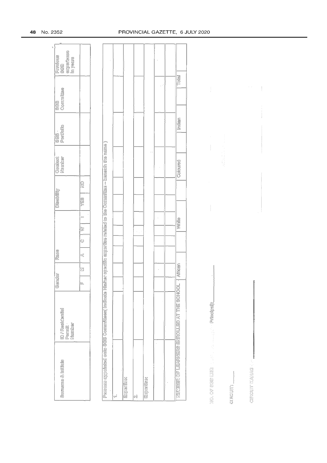## **48** No.2352 **PROVINCIAL GAZETTE, 6 JULY** 2020

|--|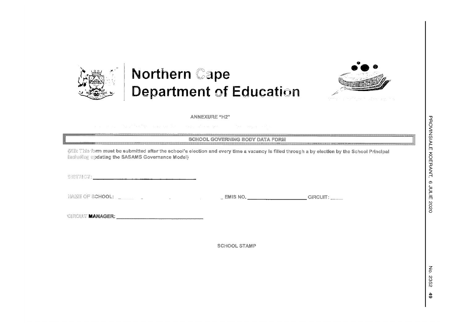# **Northern Cape Department of Education**



AUSTRIE XUIREE SHOP

**SCHOOL GOVERNING BODY DATA FORM** 

(NB: This form must be submitted after the school's election and every time a vacancy is filled through a by election by the School Principal -including updating the SASAMS Governance Model)

DISTRICT: A CONTROL CONTROL CONTROL CONTROL CONTROL CONTROL CONTROL CONTROL CONTROL CONTROL CONTROL CONTROL CO

 $\text{NAME OF} \text{SCHOOL:} \quad \text{...} \quad \text{...} \quad \text{...} \quad \text{...} \quad \text{...} \quad \text{...} \quad \text{...} \quad \text{...} \quad \text{...} \quad \text{...} \quad \text{...} \quad \text{...} \quad \text{...} \quad \text{...} \quad \text{...} \quad \text{...} \quad \text{...} \quad \text{...} \quad \text{...} \quad \text{...} \quad \text{...} \quad \text{...} \quad \text{...} \quad \text{...} \quad \text{...} \quad \text{...} \quad \text{...} \quad \text{...} \quad \text{...}$ U EMIS NO. <u>\_\_\_\_\_\_\_\_\_\_\_\_\_\_\_\_\_\_\_\_\_\_\_\_\_\_\_\_\_\_\_\_\_</u>CIRCUIT: \_\_\_\_\_\_

GIRCUIT MANAGER:

**SCHOOL STAMP**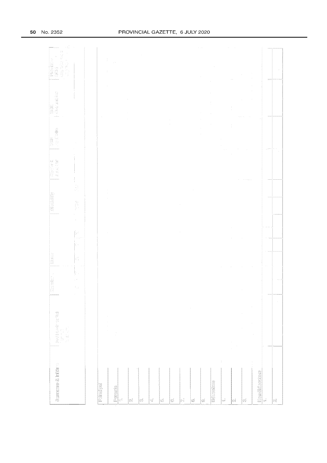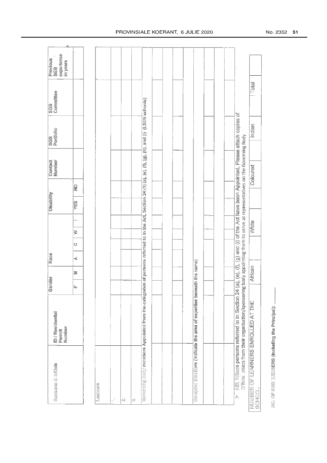| Surmanne & Initialla                                                                                                                              | ID J Residential<br>(Pajerim Mt.)<br>Muumilaaser                                                                                                                                                                                                            | Gerider | Race |   |       |          | Disablity | <b>Contact</b><br>Nurnber | i<br>SGB<br>Portfolio | SGB<br>Committee | experieree<br>in years<br>Previous<br>SGB<br>SGB |  |
|---------------------------------------------------------------------------------------------------------------------------------------------------|-------------------------------------------------------------------------------------------------------------------------------------------------------------------------------------------------------------------------------------------------------------|---------|------|---|-------|----------|-----------|---------------------------|-----------------------|------------------|--------------------------------------------------|--|
|                                                                                                                                                   |                                                                                                                                                                                                                                                             | 冨<br>晆  | ₹    | o | l.    | ¦≌<br>¦¥ | ₽         |                           |                       |                  |                                                  |  |
|                                                                                                                                                   |                                                                                                                                                                                                                                                             |         |      |   |       |          |           |                           |                       |                  |                                                  |  |
| Learnare                                                                                                                                          |                                                                                                                                                                                                                                                             |         |      |   |       |          |           |                           |                       |                  |                                                  |  |
| $\mathbb{Q}^3$                                                                                                                                    |                                                                                                                                                                                                                                                             |         |      |   |       |          |           |                           |                       |                  |                                                  |  |
| $\mathbb{N}$                                                                                                                                      |                                                                                                                                                                                                                                                             |         |      |   |       |          |           |                           |                       |                  |                                                  |  |
| $\mathcal{O}$                                                                                                                                     |                                                                                                                                                                                                                                                             |         |      |   |       |          |           |                           |                       |                  |                                                  |  |
| ©©©©202⊙ banderniberes Appointed from the categories of persons referred to in the Act, Section 24 (1) (a), (F), (g), (h), and (i) (LSEN schools) |                                                                                                                                                                                                                                                             |         |      |   |       |          |           |                           |                       |                  |                                                  |  |
|                                                                                                                                                   |                                                                                                                                                                                                                                                             |         |      |   |       |          |           |                           |                       |                  |                                                  |  |
|                                                                                                                                                   |                                                                                                                                                                                                                                                             |         |      |   |       |          |           |                           |                       |                  |                                                  |  |
|                                                                                                                                                   |                                                                                                                                                                                                                                                             |         |      |   |       |          |           |                           |                       |                  |                                                  |  |
|                                                                                                                                                   |                                                                                                                                                                                                                                                             |         |      |   |       |          |           |                           |                       |                  |                                                  |  |
| $\oslash$ org $\oslash$ s $\odot$ l $\oslash$ s $\oslash$ b $\oslash$ rs (Indicate the the area of experime benefit that harme)                   |                                                                                                                                                                                                                                                             |         |      |   |       |          |           |                           |                       |                  |                                                  |  |
|                                                                                                                                                   |                                                                                                                                                                                                                                                             |         |      |   |       |          |           |                           |                       |                  |                                                  |  |
|                                                                                                                                                   |                                                                                                                                                                                                                                                             |         |      |   |       |          |           |                           |                       |                  |                                                  |  |
|                                                                                                                                                   |                                                                                                                                                                                                                                                             |         |      |   |       |          |           |                           |                       |                  |                                                  |  |
| Á.                                                                                                                                                | NB: %00sse persons referred to in Section 24 (a), (e), (i), (g) and (i) of the Act have been Appointed, Please attach copies of<br>Official stream their originarisation/sponsoring body appointing them to serve as representatives on the Governing Body. |         |      |   |       |          |           |                           |                       |                  |                                                  |  |
| NUMBER OF LEARNERS ENROLLED AT THE<br>SCHOOL                                                                                                      |                                                                                                                                                                                                                                                             | Adrican |      |   | White |          |           | Coloured                  | Indian                | Total            |                                                  |  |
|                                                                                                                                                   |                                                                                                                                                                                                                                                             |         |      |   |       |          |           |                           |                       |                  |                                                  |  |

ł **NO. OF SO SERVENTIONS IN SERVICES**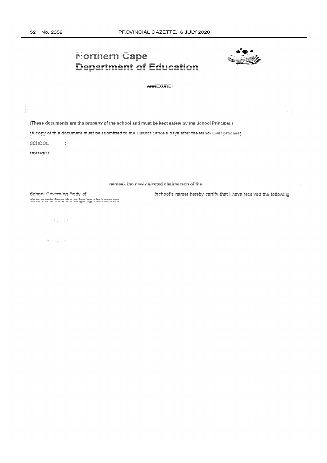# Northern Cape<br>Department of Education



## ANNEXURE |

| (These documents are the property of the school and must be kept safely by the School Principal.)     |                                                                  |
|-------------------------------------------------------------------------------------------------------|------------------------------------------------------------------|
| (A copy of this document must be submitted to the District Office 5 days after the Hand-Over process) |                                                                  |
| SCHOOL<br>$-10.3$                                                                                     |                                                                  |
| DISTRICT                                                                                              |                                                                  |
|                                                                                                       |                                                                  |
|                                                                                                       |                                                                  |
|                                                                                                       | names), the newly elected chairperson of the                     |
| School Governing Body of <b>Committee Control</b><br>documents from the outgoing chairperson;         | echool's name) hereby certify that I have received the following |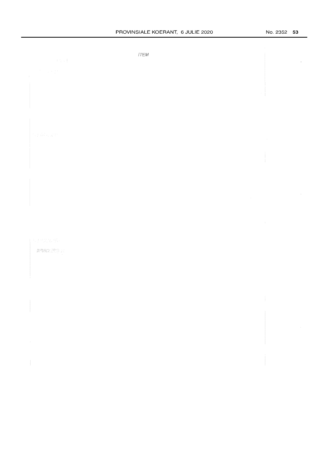| 注定 (上)                                                                                                                                        | ${I}{\cal T}{\cal E}{\cal M}$ |
|-----------------------------------------------------------------------------------------------------------------------------------------------|-------------------------------|
| $\label{eq:2} \mathcal{L}(\mathcal{A}) = \frac{1}{2} \sum_{i=1}^n \mathcal{L}(\mathcal{A}) \mathcal{L}(\mathcal{A}) \mathcal{L}(\mathcal{A})$ |                               |
|                                                                                                                                               |                               |
|                                                                                                                                               |                               |
| bis da                                                                                                                                        |                               |

|  | the contract of the contract of the contract of<br>. |  | .<br>.                                                                                                          |  |
|--|------------------------------------------------------|--|-----------------------------------------------------------------------------------------------------------------|--|
|  |                                                      |  |                                                                                                                 |  |
|  |                                                      |  | the contract of the contract of the contract of the contract of the contract of the contract of the contract of |  |
|  |                                                      |  | .                                                                                                               |  |

WESONED IN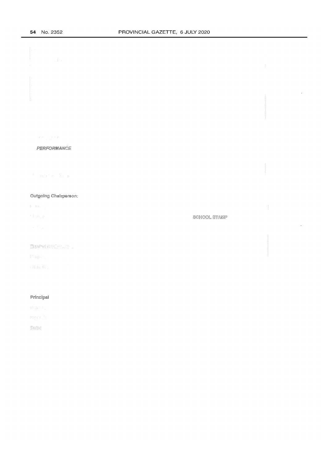$\bar{\mathcal{A}}$ 

 $\bar{\bar{z}}$ 

## **PERFORMANCE**

# Outgoing Chairperson:

SCHOOL STAMP

Bestel Grinden

## Principal

Date: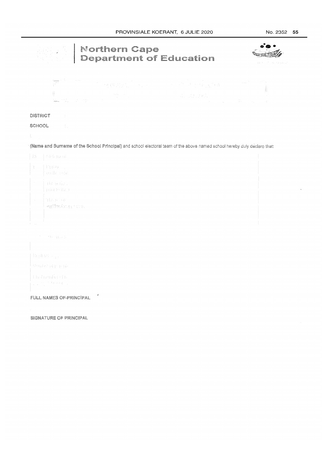

#### DISTRICT

## SCHOOL

(Name and Sumame of the School Principal) and school electoral team of the above named school hereby duly declaro that:

| $\begin{bmatrix} 1 & 0 \\ 0 & 1 \end{bmatrix}$ | (本身有力)                          |
|------------------------------------------------|---------------------------------|
| Tri i                                          | <b>Collection</b><br>Ponde edu- |
| þ.                                             | The vehicle<br>  pika tella d   |
| þ.                                             | 自信: 6000<br>welfinder. prova    |
| $\mathcal{A}=\mathcal{A}$ .                    |                                 |
|                                                | 不同 电双调节                         |
|                                                |                                 |
|                                                | Restrace                        |
|                                                | d Donatz al paraie              |

FULL NAMES OF-PRINCIPAL

SIGNATURE OF PRINCIPAL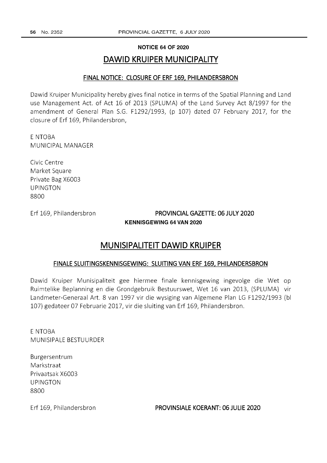## **NOTICE 64 OF 2020**

# **DAWID KRUIPER MUNICIPALITY**

## **FINAL NOTICE: CLOSURE OF ERF 169, PHILANDERSBRON**

Dawid Kruiper Municipality hereby gives final notice in terms of the Spatial Planning and Land use Management Act. of Act 16 of 2013 (SPLUMA) of the Land Survey Act 8/1997 for the amendment of General Plan S.G. F1292/1993, (p 107) dated 07 February 2017, for the closure of Erf 169, Philandersbron,

E NTOBA MUNICIPAL MANAGER

Civic Centre Market Square Private Bag X6003 UPINGTON 8800

# Erf 169, Philandersbron **PROVINCIAL GAZETTE: 06 JULY** 2020 **KENNISGEWING 64 VAN 2020**

# **MUNISIPALITEIT DAWID KRUIPER**

# **FINALE SLUITINGSKENNISGEWING: SLUITING VAN ERF 169, PHILANDERSBRON**

Dawid Kruiper Munisipaliteit gee hiermee finale kennisgewing ingevolge die Wet op Ruimtelike Beplanning en die Grondgebruik Bestuurswet, Wet 16 van 2013, (SPLUMA) vir Landmeter-Generaal Art. 8 van 1997 vir die wysiging van Aigemene Plan LG F1292/1993 (bl 107) gedateer 07 Februarie 2017, vir die sluiting van Erf 169, Philandersbron.

E NTOBA MUNISIPALE BESTUURDER

Burgersentrum Markstraat Privaatsak X6003 UPINGTON 8800

# Erf 169, Philandersbron **PROVINSIALE KOERANT: 06 JULIE** 2020